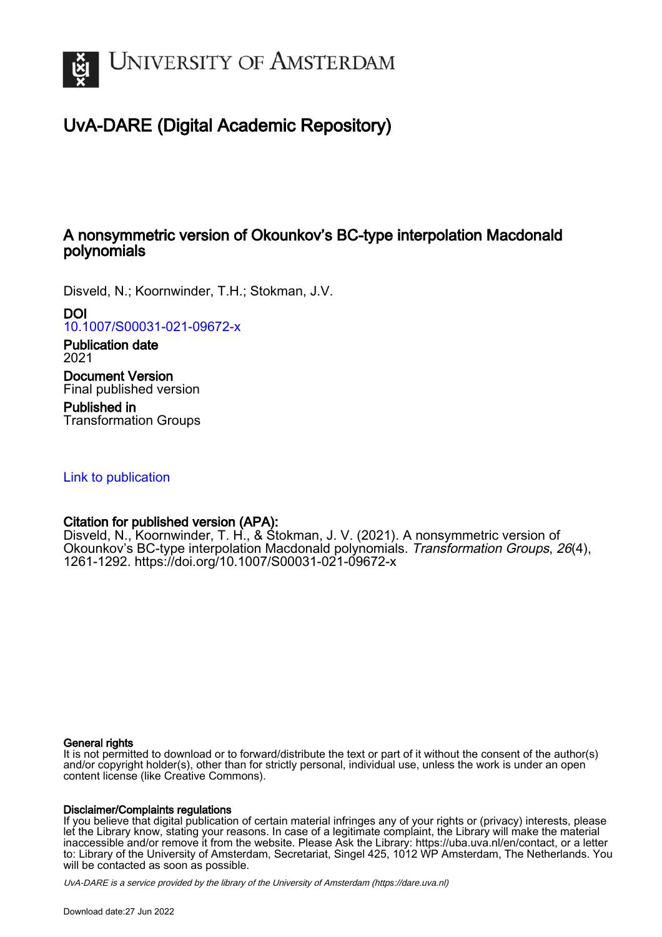

# UvA-DARE (Digital Academic Repository)

## A nonsymmetric version of Okounkov's BC-type interpolation Macdonald polynomials

Disveld, N.; Koornwinder, T.H.; Stokman, J.V.

DOI

[10.1007/S00031-021-09672-x](https://doi.org/10.1007/S00031-021-09672-x)

Publication date 2021

Document Version Final published version

Published in Transformation Groups

[Link to publication](https://dare.uva.nl/personal/pure/en/publications/a-nonsymmetric-version-of-okounkovs-bctype-interpolation-macdonald-polynomials(a89bea41-47a7-41b1-9025-1be5c68674ed).html)

## Citation for published version (APA):

Disveld, N., Koornwinder, T. H., & Stokman, J. V. (2021). A nonsymmetric version of Okounkov's BC-type interpolation Macdonald polynomials. Transformation Groups, 26(4), 1261-1292.<https://doi.org/10.1007/S00031-021-09672-x>

### General rights

It is not permitted to download or to forward/distribute the text or part of it without the consent of the author(s) and/or copyright holder(s), other than for strictly personal, individual use, unless the work is under an open content license (like Creative Commons).

### Disclaimer/Complaints regulations

If you believe that digital publication of certain material infringes any of your rights or (privacy) interests, please let the Library know, stating your reasons. In case of a legitimate complaint, the Library will make the material inaccessible and/or remove it from the website. Please Ask the Library: https://uba.uva.nl/en/contact, or a letter to: Library of the University of Amsterdam, Secretariat, Singel 425, 1012 WP Amsterdam, The Netherlands. You will be contacted as soon as possible.

UvA-DARE is a service provided by the library of the University of Amsterdam (http*s*://dare.uva.nl)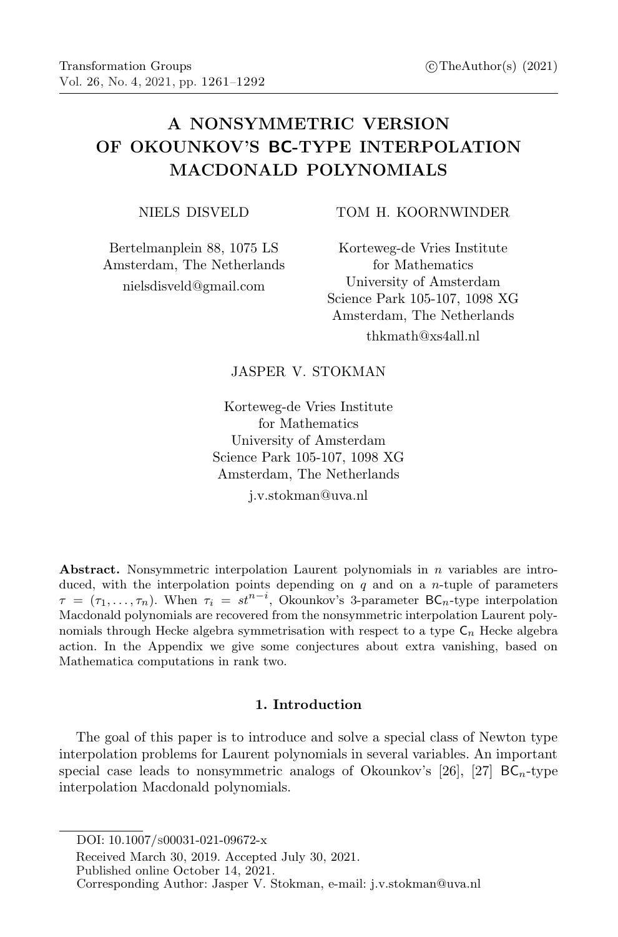## A NONSYMMETRIC VERSION OF OKOUNKOV'S BC-TYPE INTERPOLATION MACDONALD POLYNOMIALS

NIELS DISVELD

Bertelmanplein 88, 1075 LS Amsterdam, The Netherlands nielsdisveld@gmail.com

TOM H. KOORNWINDER

Korteweg-de Vries Institute for Mathematics University of Amsterdam Science Park 105-107, 1098 XG Amsterdam, The Netherlands thkmath@xs4all.nl

### JASPER V. STOKMAN

Korteweg-de Vries Institute for Mathematics University of Amsterdam Science Park 105-107, 1098 XG Amsterdam, The Netherlands

j.v.stokman@uva.nl

Abstract. Nonsymmetric interpolation Laurent polynomials in  $n$  variables are introduced, with the interpolation points depending on  $q$  and on a *n*-tuple of parameters  $\tau = (\tau_1, \ldots, \tau_n)$ . When  $\tau_i = st^{n-i}$ , Okounkov's 3-parameter BC<sub>n</sub>-type interpolation Macdonald polynomials are recovered from the nonsymmetric interpolation Laurent polynomials through Hecke algebra symmetrisation with respect to a type  $C_n$  Hecke algebra action. In the Appendix we give some conjectures about extra vanishing, based on Mathematica computations in rank two.

#### 1. Introduction

The goal of this paper is to introduce and solve a special class of Newton type interpolation problems for Laurent polynomials in several variables. An important special case leads to nonsymmetric analogs of Okounkov's [26], [27]  $BC_n$ -type interpolation Macdonald polynomials.

DOI: 10.1007/S00031-021-09672-x

Received March 30, 2019. Accepted July 30, 2021.

Published online October 14, 2021.

Corresponding Author: Jasper V. Stokman, e-mail: j.v.stokman@uva.nl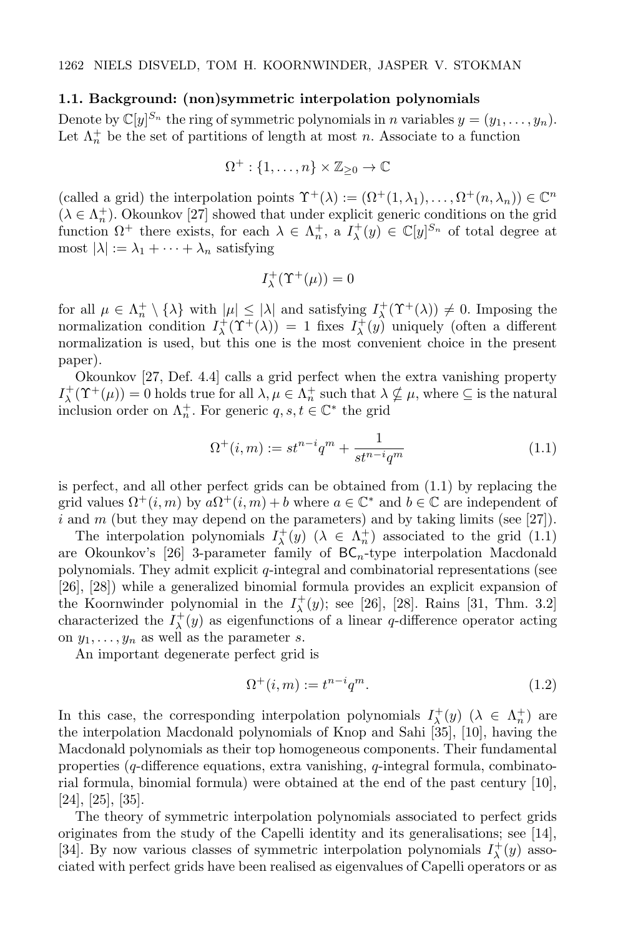#### 1.1. Background: (non)symmetric interpolation polynomials

Denote by  $\mathbb{C}[y]^{S_n}$  the ring of symmetric polynomials in n variables  $y = (y_1, \ldots, y_n)$ . Let  $\Lambda_n^+$  be the set of partitions of length at most n. Associate to a function

$$
\Omega^+:\{1,\ldots,n\}\times\mathbb{Z}_{\geq 0}\to\mathbb{C}
$$

(called a grid) the interpolation points  $\Upsilon^+(\lambda) := (\Omega^+(1,\lambda_1), \ldots, \Omega^+(n,\lambda_n)) \in \mathbb{C}^n$  $(\lambda \in \Lambda_n^+)$ . Okounkov [27] showed that under explicit generic conditions on the grid function  $\Omega^+$  there exists, for each  $\lambda \in \Lambda_n^+$ , a  $I_\lambda^+(y) \in \mathbb{C}[y]^{S_n}$  of total degree at most  $|\lambda| := \lambda_1 + \cdots + \lambda_n$  satisfying

$$
I^+_{\lambda}(\Upsilon^+(\mu))=0
$$

for all  $\mu \in \Lambda_n^+ \setminus {\lambda}$  with  $|\mu| \leq |\lambda|$  and satisfying  $I^+_{\lambda}(\Upsilon^+(\lambda)) \neq 0$ . Imposing the normalization condition  $I^+_\lambda(\Upsilon^+(\lambda)) = 1$  fixes  $I^+_\lambda(y)$  uniquely (often a different normalization is used, but this one is the most convenient choice in the present paper).

Okounkov [27, Def. 4.4] calls a grid perfect when the extra vanishing property  $I^+_\lambda(\Upsilon^+(\mu)) = 0$  holds true for all  $\lambda, \mu \in \Lambda_n^+$  such that  $\lambda \nsubseteq \mu$ , where  $\subseteq$  is the natural inclusion order on  $\Lambda_n^+$ . For generic  $q, s, t \in \mathbb{C}^*$  the grid

$$
\Omega^+(i,m) := st^{n-i}q^m + \frac{1}{st^{n-i}q^m}
$$
\n(1.1)

is perfect, and all other perfect grids can be obtained from (1.1) by replacing the grid values  $\Omega^+(i,m)$  by  $a\Omega^+(i,m) + b$  where  $a \in \mathbb{C}^*$  and  $b \in \mathbb{C}$  are independent of i and m (but they may depend on the parameters) and by taking limits (see [27]).

The interpolation polynomials  $I^+_\lambda(y)$  ( $\lambda \in \Lambda^+_n$ ) associated to the grid (1.1) are Okounkov's [26] 3-parameter family of  $BC_n$ -type interpolation Macdonald polynomials. They admit explicit  $q$ -integral and combinatorial representations (see [26], [28]) while a generalized binomial formula provides an explicit expansion of the Koornwinder polynomial in the  $I^+_\lambda(y)$ ; see [26], [28]. Rains [31, Thm. 3.2] characterized the  $I^+_\lambda(y)$  as eigenfunctions of a linear q-difference operator acting on  $y_1, \ldots, y_n$  as well as the parameter s.

An important degenerate perfect grid is

$$
\Omega^+(i,m) := t^{n-i} q^m. \tag{1.2}
$$

In this case, the corresponding interpolation polynomials  $I^+_\lambda(y)$  ( $\lambda \in \Lambda^+_n$ ) are the interpolation Macdonald polynomials of Knop and Sahi [35], [10], having the Macdonald polynomials as their top homogeneous components. Their fundamental properties  $(q$ -difference equations, extra vanishing,  $q$ -integral formula, combinatorial formula, binomial formula) were obtained at the end of the past century [10], [24], [25], [35].

The theory of symmetric interpolation polynomials associated to perfect grids originates from the study of the Capelli identity and its generalisations; see [14], [34]. By now various classes of symmetric interpolation polynomials  $I^+_\lambda(y)$  associated with perfect grids have been realised as eigenvalues of Capelli operators or as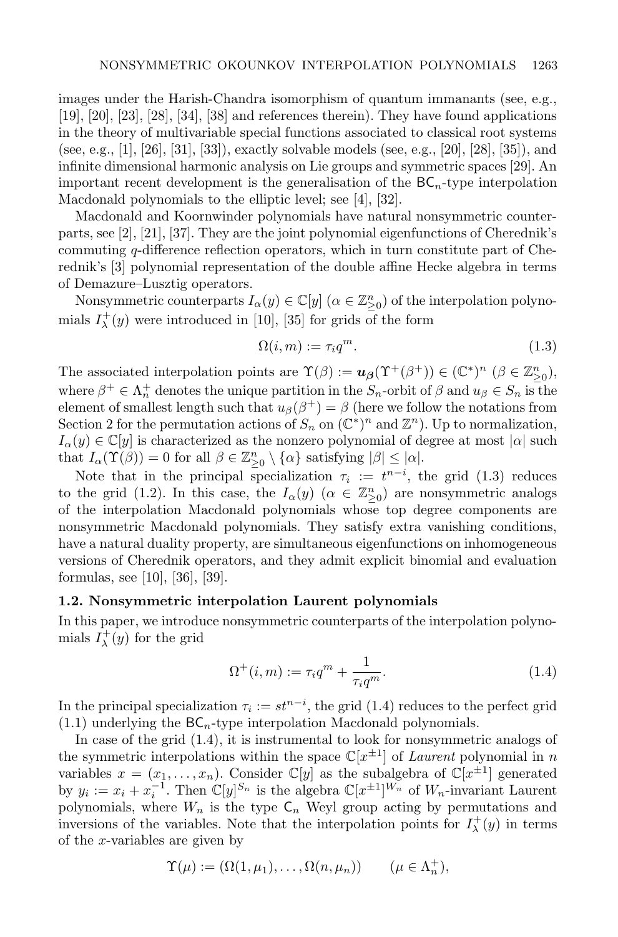images under the Harish-Chandra isomorphism of quantum immanants (see, e.g., [19], [20], [23], [28], [34], [38] and references therein). They have found applications in the theory of multivariable special functions associated to classical root systems (see, e.g., [1], [26], [31], [33]), exactly solvable models (see, e.g., [20], [28], [35]), and infinite dimensional harmonic analysis on Lie groups and symmetric spaces [29]. An important recent development is the generalisation of the  $BC_n$ -type interpolation Macdonald polynomials to the elliptic level; see [4], [32].

Macdonald and Koornwinder polynomials have natural nonsymmetric counterparts, see [2], [21], [37]. They are the joint polynomial eigenfunctions of Cherednik's commuting q-difference reflection operators, which in turn constitute part of Cherednik's [3] polynomial representation of the double affine Hecke algebra in terms of Demazure–Lusztig operators.

Nonsymmetric counterparts  $I_{\alpha}(y) \in \mathbb{C}[y]$   $(\alpha \in \mathbb{Z}_{\geq 0}^n)$  of the interpolation polynomials  $I_{\lambda}^{+}(y)$  were introduced in [10], [35] for grids of the form

$$
\Omega(i,m) := \tau_i q^m. \tag{1.3}
$$

The associated interpolation points are  $\Upsilon(\beta) := u_{\beta}(\Upsilon^+(\beta^+)) \in (\mathbb{C}^*)^n \ (\beta \in \mathbb{Z}_{\geq 0}^n)$ , where  $\beta^+ \in \Lambda_n^+$  denotes the unique partition in the  $S_n$ -orbit of  $\beta$  and  $u_\beta \in S_n$  is the element of smallest length such that  $u_{\beta}(\beta^+) = \beta$  (here we follow the notations from Section 2 for the permutation actions of  $S_n$  on  $(\mathbb{C}^*)^n$  and  $\mathbb{Z}^n$ ). Up to normalization,  $I_{\alpha}(y) \in \mathbb{C}[y]$  is characterized as the nonzero polynomial of degree at most  $|\alpha|$  such that  $I_{\alpha}(\Upsilon(\beta)) = 0$  for all  $\beta \in \mathbb{Z}_{\geq 0}^n \setminus {\{\alpha\}}$  satisfying  $|\beta| \leq |\alpha|$ .

Note that in the principal specialization  $\tau_i := t^{n-i}$ , the grid (1.3) reduces to the grid (1.2). In this case, the  $I_{\alpha}(y)$  ( $\alpha \in \mathbb{Z}_{\geq 0}^n$ ) are nonsymmetric analogs of the interpolation Macdonald polynomials whose top degree components are nonsymmetric Macdonald polynomials. They satisfy extra vanishing conditions, have a natural duality property, are simultaneous eigenfunctions on inhomogeneous versions of Cherednik operators, and they admit explicit binomial and evaluation formulas, see [10], [36], [39].

#### 1.2. Nonsymmetric interpolation Laurent polynomials

In this paper, we introduce nonsymmetric counterparts of the interpolation polynomials  $I^+_\lambda(y)$  for the grid

$$
\Omega^+(i,m) := \tau_i q^m + \frac{1}{\tau_i q^m}.\tag{1.4}
$$

In the principal specialization  $\tau_i := st^{n-i}$ , the grid (1.4) reduces to the perfect grid  $(1.1)$  underlying the  $BC_n$ -type interpolation Macdonald polynomials.

In case of the grid (1.4), it is instrumental to look for nonsymmetric analogs of the symmetric interpolations within the space  $\mathbb{C}[x^{\pm 1}]$  of *Laurent* polynomial in n variables  $x = (x_1, \ldots, x_n)$ . Consider  $\mathbb{C}[y]$  as the subalgebra of  $\mathbb{C}[x^{\pm 1}]$  generated by  $y_i := x_i + x_i^{-1}$ . Then  $\mathbb{C}[y]^{S_n}$  is the algebra  $\mathbb{C}[x^{\pm 1}]^{W_n}$  of  $W_n$ -invariant Laurent polynomials, where  $W_n$  is the type  $\mathsf{C}_n$  Weyl group acting by permutations and inversions of the variables. Note that the interpolation points for  $I^+_\lambda(y)$  in terms of the x-variables are given by

$$
\Upsilon(\mu) := (\Omega(1,\mu_1),\ldots,\Omega(n,\mu_n)) \qquad (\mu \in \Lambda_n^+),
$$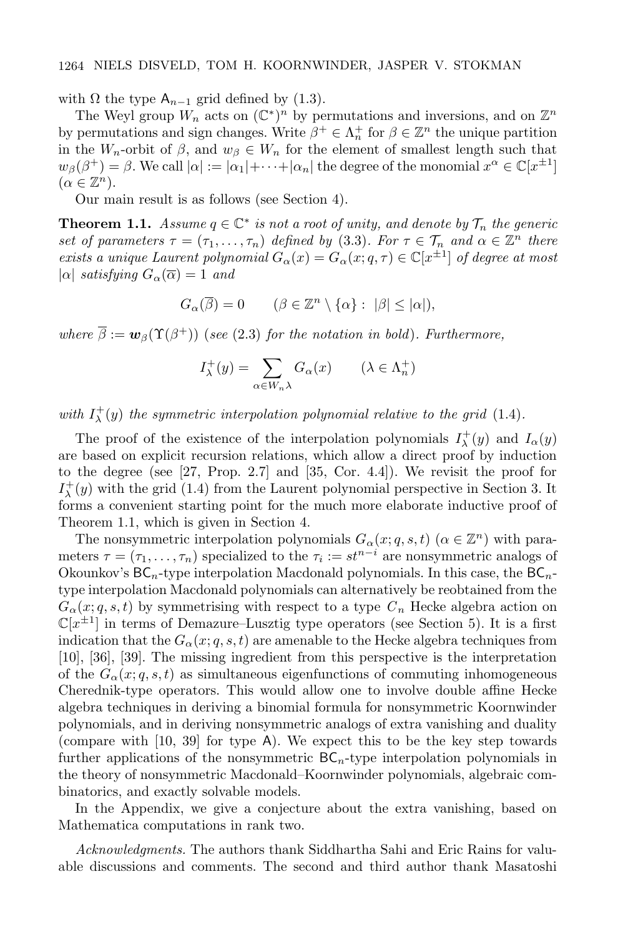with  $\Omega$  the type  $A_{n-1}$  grid defined by (1.3).

The Weyl group  $W_n$  acts on  $(\mathbb{C}^*)^n$  by permutations and inversions, and on  $\mathbb{Z}^n$ by permutations and sign changes. Write  $\beta^+ \in \Lambda_n^+$  for  $\beta \in \mathbb{Z}^n$  the unique partition in the  $W_n$ -orbit of  $\beta$ , and  $w_{\beta} \in W_n$  for the element of smallest length such that  $w_{\beta}(\beta^+) = \beta$ . We call  $|\alpha| := |\alpha_1| + \cdots + |\alpha_n|$  the degree of the monomial  $x^{\alpha} \in \mathbb{C}[x^{\pm 1}]$  $(\alpha \in \mathbb{Z}^n).$ 

Our main result is as follows (see Section 4).

**Theorem 1.1.** Assume  $q \in \mathbb{C}^*$  is not a root of unity, and denote by  $\mathcal{T}_n$  the generic set of parameters  $\tau = (\tau_1, \ldots, \tau_n)$  defined by (3.3). For  $\tau \in \mathcal{T}_n$  and  $\alpha \in \mathbb{Z}^n$  there exists a unique Laurent polynomial  $G_{\alpha}(x) = G_{\alpha}(x; q, \tau) \in \mathbb{C}[x^{\pm 1}]$  of degree at most  $|\alpha|$  satisfying  $G_{\alpha}(\overline{\alpha}) = 1$  and

 $G_{\alpha}(\overline{\beta}) = 0 \qquad (\beta \in \mathbb{Z}^n \setminus {\{\alpha\}} : |\beta| \leq |\alpha|),$ 

where  $\overline{\beta} := \mathbf{w}_{\beta}(\Upsilon(\beta^+))$  (see (2.3) for the notation in bold). Furthermore,

$$
I_{\lambda}^{+}(y) = \sum_{\alpha \in W_n \lambda} G_{\alpha}(x) \qquad (\lambda \in \Lambda_n^{+})
$$

with  $I_{\lambda}^{+}(y)$  the symmetric interpolation polynomial relative to the grid (1.4).

The proof of the existence of the interpolation polynomials  $I^+_\lambda(y)$  and  $I_\alpha(y)$ are based on explicit recursion relations, which allow a direct proof by induction to the degree (see [27, Prop. 2.7] and [35, Cor. 4.4]). We revisit the proof for  $I_{\lambda}^{+}(y)$  with the grid (1.4) from the Laurent polynomial perspective in Section 3. It forms a convenient starting point for the much more elaborate inductive proof of Theorem 1.1, which is given in Section 4.

The nonsymmetric interpolation polynomials  $G_{\alpha}(x;q,s,t)$   $(\alpha \in \mathbb{Z}^n)$  with parameters  $\tau = (\tau_1, \ldots, \tau_n)$  specialized to the  $\tau_i := st^{n-i}$  are nonsymmetric analogs of Okounkov's  $BC_n$ -type interpolation Macdonald polynomials. In this case, the  $BC_n$ type interpolation Macdonald polynomials can alternatively be reobtained from the  $G_{\alpha}(x; q, s, t)$  by symmetrising with respect to a type  $C_n$  Hecke algebra action on  $\mathbb{C}[x^{\pm 1}]$  in terms of Demazure–Lusztig type operators (see Section 5). It is a first indication that the  $G_{\alpha}(x; q, s, t)$  are amenable to the Hecke algebra techniques from [10], [36], [39]. The missing ingredient from this perspective is the interpretation of the  $G_{\alpha}(x; q, s, t)$  as simultaneous eigenfunctions of commuting inhomogeneous Cherednik-type operators. This would allow one to involve double affine Hecke algebra techniques in deriving a binomial formula for nonsymmetric Koornwinder polynomials, and in deriving nonsymmetric analogs of extra vanishing and duality (compare with [10, 39] for type A). We expect this to be the key step towards further applications of the nonsymmetric  $BC_n$ -type interpolation polynomials in the theory of nonsymmetric Macdonald–Koornwinder polynomials, algebraic combinatorics, and exactly solvable models.

In the Appendix, we give a conjecture about the extra vanishing, based on Mathematica computations in rank two.

Acknowledgments. The authors thank Siddhartha Sahi and Eric Rains for valuable discussions and comments. The second and third author thank Masatoshi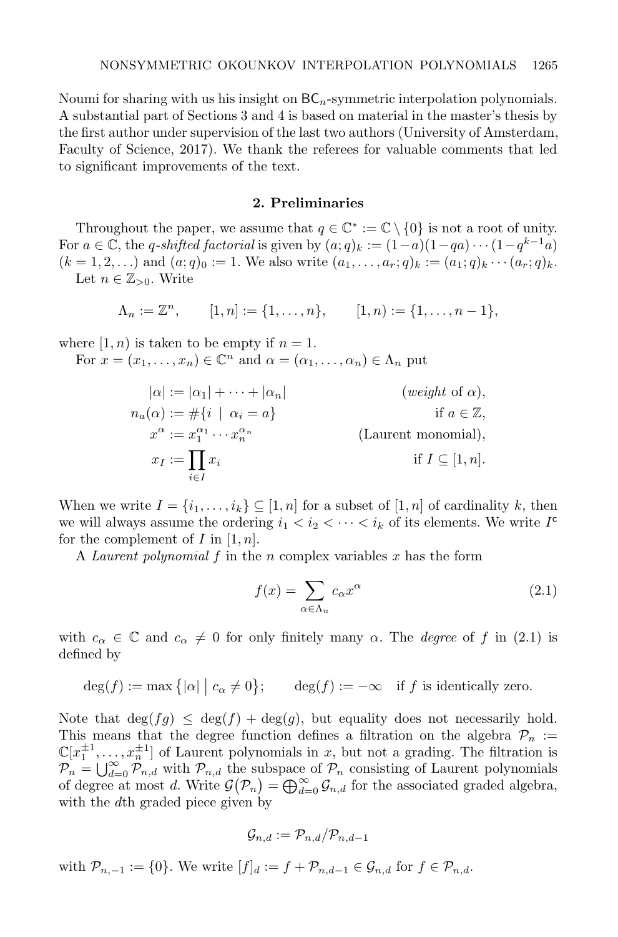Noumi for sharing with us his insight on  $BC_n$ -symmetric interpolation polynomials. A substantial part of Sections 3 and 4 is based on material in the master's thesis by the first author under supervision of the last two authors (University of Amsterdam, Faculty of Science, 2017). We thank the referees for valuable comments that led to significant improvements of the text.

#### 2. Preliminaries

Throughout the paper, we assume that  $q \in \mathbb{C}^* := \mathbb{C} \setminus \{0\}$  is not a root of unity. For  $a \in \mathbb{C}$ , the q-shifted factorial is given by  $(a;q)_k := (1-a)(1-qa)\cdots(1-q^{k-1}a)$  $(k = 1, 2, ...)$  and  $(a; q)_0 := 1$ . We also write  $(a_1, \ldots, a_r; q)_k := (a_1; q)_k \cdots (a_r; q)_k$ . Let  $n \in \mathbb{Z}_{>0}$ . Write

$$
\Lambda_n := \mathbb{Z}^n, \qquad [1, n] := \{1, \dots, n\}, \qquad [1, n) := \{1, \dots, n-1\},
$$

where  $[1, n)$  is taken to be empty if  $n = 1$ .

For  $x = (x_1, \ldots, x_n) \in \mathbb{C}^n$  and  $\alpha = (\alpha_1, \ldots, \alpha_n) \in \Lambda_n$  put

$$
|\alpha| := |\alpha_1| + \cdots + |\alpha_n| \qquad \text{(weight of } \alpha),
$$
  
\n
$$
n_a(\alpha) := #\{i \mid \alpha_i = a\} \qquad \text{if } a \in \mathbb{Z},
$$
  
\n
$$
x^{\alpha} := x_1^{\alpha_1} \cdots x_n^{\alpha_n} \qquad \text{(Laurent monomial)},
$$
  
\n
$$
x_I := \prod_{i \in I} x_i \qquad \text{if } I \subseteq [1, n].
$$

When we write  $I = \{i_1, \ldots, i_k\} \subseteq [1, n]$  for a subset of  $[1, n]$  of cardinality k, then we will always assume the ordering  $i_1 < i_2 < \cdots < i_k$  of its elements. We write  $I^c$ for the complement of I in  $[1, n]$ .

A Laurent polynomial  $f$  in the n complex variables  $x$  has the form

$$
f(x) = \sum_{\alpha \in \Lambda_n} c_{\alpha} x^{\alpha} \tag{2.1}
$$

with  $c_{\alpha} \in \mathbb{C}$  and  $c_{\alpha} \neq 0$  for only finitely many  $\alpha$ . The *degree* of f in (2.1) is defined by

$$
\deg(f) := \max\big\{ |\alpha| \mid c_{\alpha} \neq 0 \big\}; \qquad \deg(f) := -\infty \quad \text{if } f \text{ is identically zero.}
$$

Note that  $\deg(fg) \leq \deg(f) + \deg(g)$ , but equality does not necessarily hold. This means that the degree function defines a filtration on the algebra  $\mathcal{P}_n :=$  $\mathbb{C}[x_1^{\pm 1}, \ldots, x_n^{\pm 1}]$  of Laurent polynomials in x, but not a grading. The filtration is  $\mathcal{P}_n = \bigcup_{d=0}^{\infty} \mathcal{P}_{n,d}$  with  $\mathcal{P}_{n,d}$  the subspace of  $\mathcal{P}_n$  consisting of Laurent polynomials of degree at most d. Write  $\mathcal{G}(\mathcal{P}_n) = \bigoplus_{d=0}^{\infty} \mathcal{G}_{n,d}$  for the associated graded algebra, with the d<sup>th</sup> graded piece given by

$$
\mathcal{G}_{n,d}:=\mathcal{P}_{n,d}/\mathcal{P}_{n,d-1}
$$

with  $\mathcal{P}_{n,-1} := \{0\}$ . We write  $[f]_d := f + \mathcal{P}_{n,d-1} \in \mathcal{G}_{n,d}$  for  $f \in \mathcal{P}_{n,d}$ .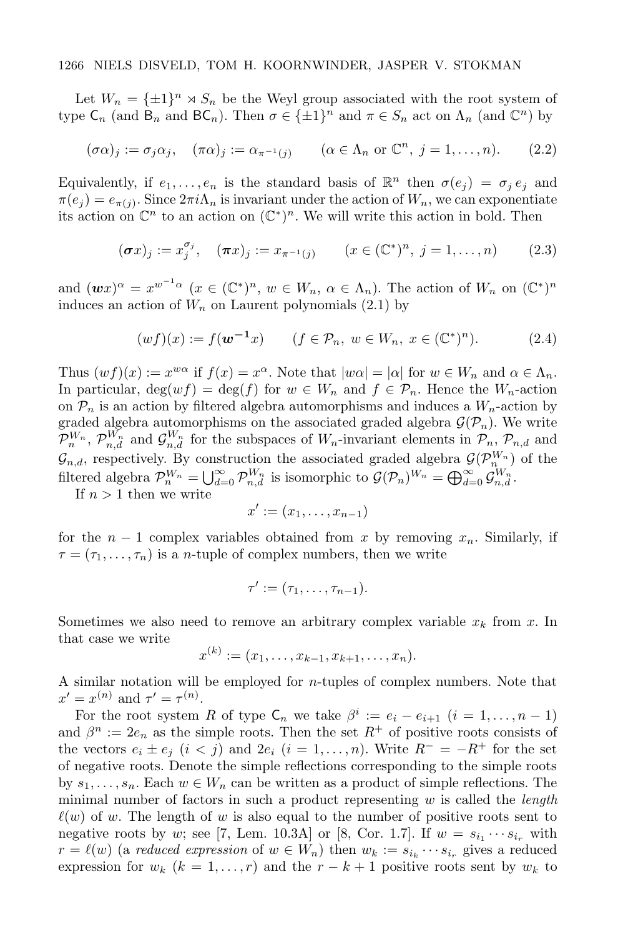Let  $W_n = {\pm 1}^n \times S_n$  be the Weyl group associated with the root system of type  $\mathsf{C}_n$  (and  $\mathsf{B}_n$  and  $\mathsf{BC}_n$ ). Then  $\sigma \in {\{\pm 1\}}^n$  and  $\pi \in S_n$  act on  $\Lambda_n$  (and  $\mathbb{C}^n$ ) by

$$
(\sigma \alpha)_j := \sigma_j \alpha_j, \quad (\pi \alpha)_j := \alpha_{\pi^{-1}(j)} \qquad (\alpha \in \Lambda_n \text{ or } \mathbb{C}^n, j = 1, \dots, n). \tag{2.2}
$$

Equivalently, if  $e_1, \ldots, e_n$  is the standard basis of  $\mathbb{R}^n$  then  $\sigma(e_j) = \sigma_j e_j$  and  $\pi(e_j) = e_{\pi(j)}$ . Since  $2\pi i \Lambda_n$  is invariant under the action of  $W_n$ , we can exponentiate its action on  $\mathbb{C}^n$  to an action on  $(\mathbb{C}^*)^n$ . We will write this action in bold. Then

$$
(\sigma x)_j := x_j^{\sigma_j}, \quad (\pi x)_j := x_{\pi^{-1}(j)} \qquad (x \in (\mathbb{C}^*)^n, \ j = 1, \dots, n) \tag{2.3}
$$

and  $(wx)^\alpha = x^{w^{-1}\alpha}$   $(x \in (\mathbb{C}^*)^n, w \in W_n, \alpha \in \Lambda_n)$ . The action of  $W_n$  on  $(\mathbb{C}^*)^n$ induces an action of  $W_n$  on Laurent polynomials (2.1) by

$$
(wf)(x) := f(\mathbf{w}^{-1}x) \qquad (f \in \mathcal{P}_n, \ w \in W_n, \ x \in (\mathbb{C}^*)^n). \tag{2.4}
$$

Thus  $(wf)(x) := x^{w\alpha}$  if  $f(x) = x^{\alpha}$ . Note that  $|w\alpha| = |\alpha|$  for  $w \in W_n$  and  $\alpha \in \Lambda_n$ . In particular,  $\deg(wf) = \deg(f)$  for  $w \in W_n$  and  $f \in \mathcal{P}_n$ . Hence the  $W_n$ -action on  $\mathcal{P}_n$  is an action by filtered algebra automorphisms and induces a  $W_n$ -action by graded algebra automorphisms on the associated graded algebra  $\mathcal{G}(\mathcal{P}_n)$ . We write  $\mathcal{P}_n^{W_n}$ ,  $\mathcal{P}_{n,d}^{W_n}$  and  $\mathcal{G}_{n,d}^{W_n}$  for the subspaces of  $W_n$ -invariant elements in  $\mathcal{P}_n$ ,  $\mathcal{P}_{n,d}$  and  $\mathcal{G}_{n,d}$ , respectively. By construction the associated graded algebra  $\mathcal{G}(\mathcal{P}_{n}^{W_n})$  of the filtered algebra  $\mathcal{P}_n^{W_n} = \bigcup_{d=0}^{\infty} \mathcal{P}_{n,d}^{W_n}$  is isomorphic to  $\mathcal{G}(\mathcal{P}_n)^{W_n} = \bigoplus_{d=0}^{\infty} \mathcal{G}_{n,d}^{W_n}$ .

If  $n > 1$  then we write

$$
x' := (x_1, \ldots, x_{n-1})
$$

for the  $n-1$  complex variables obtained from x by removing  $x_n$ . Similarly, if  $\tau = (\tau_1, \ldots, \tau_n)$  is a *n*-tuple of complex numbers, then we write

$$
\tau' := (\tau_1, \ldots, \tau_{n-1}).
$$

Sometimes we also need to remove an arbitrary complex variable  $x_k$  from x. In that case we write

$$
x^{(k)} := (x_1, \ldots, x_{k-1}, x_{k+1}, \ldots, x_n).
$$

A similar notation will be employed for  $n$ -tuples of complex numbers. Note that  $x' = x^{(n)}$  and  $\tau' = \tau^{(n)}$ .

For the root system R of type  $\mathsf{C}_n$  we take  $\beta^i := e_i - e_{i+1}$   $(i = 1, ..., n-1)$ and  $\beta^n := 2e_n$  as the simple roots. Then the set  $R^+$  of positive roots consists of the vectors  $e_i \pm e_j$   $(i < j)$  and  $2e_i$   $(i = 1, ..., n)$ . Write  $R^- = -R^+$  for the set of negative roots. Denote the simple reflections corresponding to the simple roots by  $s_1, \ldots, s_n$ . Each  $w \in W_n$  can be written as a product of simple reflections. The minimal number of factors in such a product representing  $w$  is called the *length*  $\ell(w)$  of w. The length of w is also equal to the number of positive roots sent to negative roots by w; see [7, Lem. 10.3A] or [8, Cor. 1.7]. If  $w = s_{i_1} \cdots s_{i_r}$  with  $r = \ell(w)$  (a reduced expression of  $w \in W_n$ ) then  $w_k := s_{i_k} \cdots s_{i_r}$  gives a reduced expression for  $w_k$  ( $k = 1, \ldots, r$ ) and the  $r - k + 1$  positive roots sent by  $w_k$  to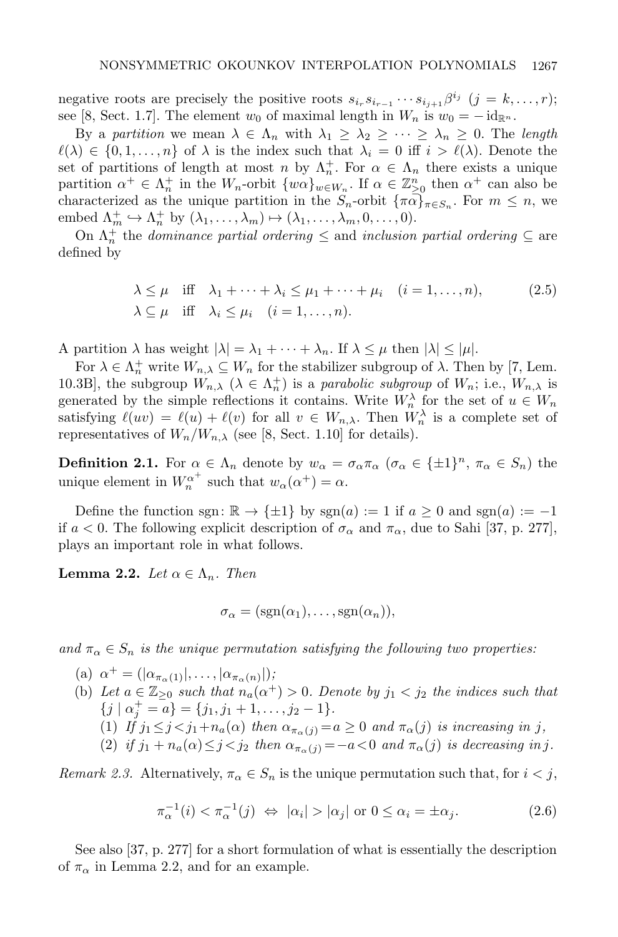negative roots are precisely the positive roots  $s_{i_r}s_{i_{r-1}}\cdots s_{i_{j+1}}\beta^{i_j}$   $(j = k, \ldots, r);$ see [8, Sect. 1.7]. The element  $w_0$  of maximal length in  $W_n$  is  $w_0 = -\mathrm{id}_{\mathbb{R}^n}$ .

By a partition we mean  $\lambda \in \Lambda_n$  with  $\lambda_1 \geq \lambda_2 \geq \cdots \geq \lambda_n \geq 0$ . The length  $\ell(\lambda) \in \{0, 1, \ldots, n\}$  of  $\lambda$  is the index such that  $\lambda_i = 0$  iff  $i > \ell(\lambda)$ . Denote the set of partitions of length at most n by  $\Lambda_n^+$ . For  $\alpha \in \Lambda_n$  there exists a unique partition  $\alpha^+ \in \Lambda_n^+$  in the  $W_n$ -orbit  $\{w\alpha\}_{w \in W_n}$ . If  $\alpha \in \mathbb{Z}_{\geq 0}^n$  then  $\alpha^+$  can also be characterized as the unique partition in the  $S_n$ -orbit  $\{\pi\alpha\}_{\pi \in S_n}$ . For  $m \leq n$ , we embed  $\Lambda_m^+ \hookrightarrow \Lambda_n^+$  by  $(\lambda_1, \ldots, \lambda_m) \mapsto (\lambda_1, \ldots, \lambda_m, 0, \ldots, 0).$ 

On  $\Lambda_n^+$  the *dominance partial ordering*  $\leq$  and *inclusion partial ordering*  $\subseteq$  are defined by

$$
\lambda \le \mu \quad \text{iff} \quad \lambda_1 + \dots + \lambda_i \le \mu_1 + \dots + \mu_i \quad (i = 1, \dots, n),
$$
\n
$$
\lambda \subseteq \mu \quad \text{iff} \quad \lambda_i \le \mu_i \quad (i = 1, \dots, n).
$$
\n(2.5)

A partition  $\lambda$  has weight  $|\lambda| = \lambda_1 + \cdots + \lambda_n$ . If  $\lambda \leq \mu$  then  $|\lambda| \leq |\mu|$ .

For  $\lambda \in \Lambda_n^+$  write  $W_{n,\lambda} \subseteq W_n$  for the stabilizer subgroup of  $\lambda$ . Then by [7, Lem. 10.3B], the subgroup  $W_{n,\lambda}$   $(\lambda \in \Lambda_n^+)$  is a parabolic subgroup of  $W_n$ ; i.e.,  $W_{n,\lambda}$  is generated by the simple reflections it contains. Write  $W_n^{\lambda}$  for the set of  $u \in W_n$ satisfying  $\ell(uv) = \ell(u) + \ell(v)$  for all  $v \in W_{n,\lambda}$ . Then  $W_n^{\lambda}$  is a complete set of representatives of  $W_n/W_{n,\lambda}$  (see [8, Sect. 1.10] for details).

**Definition 2.1.** For  $\alpha \in \Lambda_n$  denote by  $w_{\alpha} = \sigma_{\alpha} \pi_{\alpha}$  ( $\sigma_{\alpha} \in {\pm 1}^n$ ,  $\pi_{\alpha} \in S_n$ ) the unique element in  $W_n^{\alpha^+}$  such that  $w_\alpha(\alpha^+) = \alpha$ .

Define the function sgn:  $\mathbb{R} \to {\pm 1}$  by sgn(a) := 1 if  $a \ge 0$  and sgn(a) := -1 if  $a < 0$ . The following explicit description of  $\sigma_{\alpha}$  and  $\pi_{\alpha}$ , due to Sahi [37, p. 277], plays an important role in what follows.

**Lemma 2.2.** Let  $\alpha \in \Lambda_n$ . Then

$$
\sigma_{\alpha} = (sgn(\alpha_1), \dots, sgn(\alpha_n)),
$$

and  $\pi_{\alpha} \in S_n$  is the unique permutation satisfying the following two properties:

- (a)  $\alpha^+ = (|\alpha_{\pi_\alpha(1)}|, \ldots, |\alpha_{\pi_\alpha(n)}|);$
- (b) Let  $a \in \mathbb{Z}_{\geq 0}$  such that  $n_a(\alpha^+) > 0$ . Denote by  $j_1 < j_2$  the indices such that  $\{j \mid \alpha_j^+ = a\} = \{j_1, j_1 + 1, \ldots, j_2 - 1\}.$ 
	- (1) If  $j_1 \leq j < j_1+n_a(\alpha)$  then  $\alpha_{\pi_\alpha(j)} = a \geq 0$  and  $\pi_\alpha(j)$  is increasing in j,
	- (2) if  $j_1 + n_a(\alpha) \leq j < j_2$  then  $\alpha_{\pi_\alpha(i)} = -a < 0$  and  $\pi_\alpha(j)$  is decreasing in j.

Remark 2.3. Alternatively,  $\pi_{\alpha} \in S_n$  is the unique permutation such that, for  $i < j$ ,

$$
\pi_{\alpha}^{-1}(i) < \pi_{\alpha}^{-1}(j) \iff |\alpha_i| > |\alpha_j| \text{ or } 0 \le \alpha_i = \pm \alpha_j. \tag{2.6}
$$

See also [37, p. 277] for a short formulation of what is essentially the description of  $\pi_{\alpha}$  in Lemma 2.2, and for an example.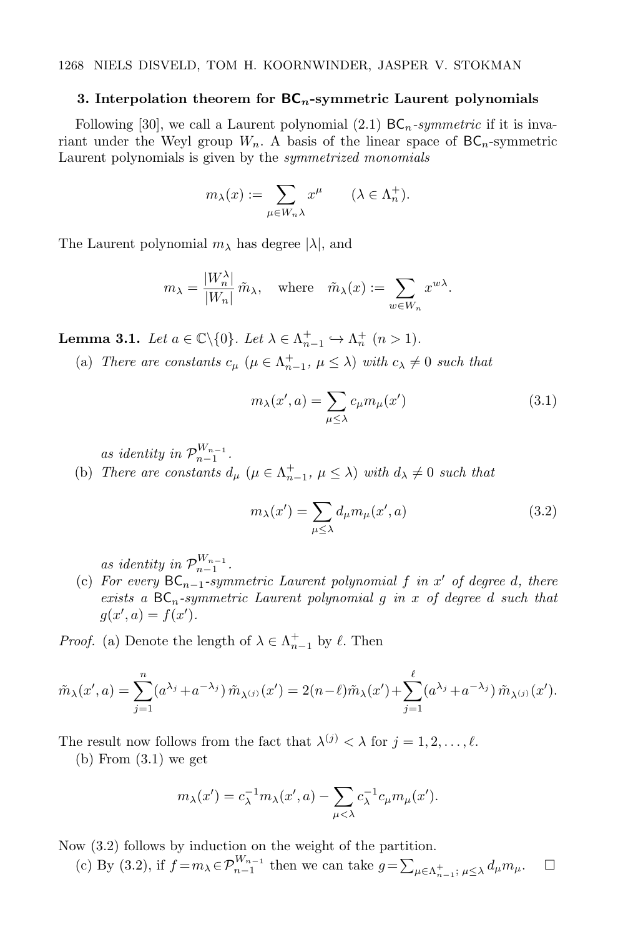#### 3. Interpolation theorem for  $BC_n$ -symmetric Laurent polynomials

Following [30], we call a Laurent polynomial (2.1)  $BC_n$ -symmetric if it is invariant under the Weyl group  $W_n$ . A basis of the linear space of  $BC_n$ -symmetric Laurent polynomials is given by the symmetrized monomials

$$
m_{\lambda}(x) := \sum_{\mu \in W_n \lambda} x^{\mu} \qquad (\lambda \in \Lambda_n^+).
$$

The Laurent polynomial  $m_\lambda$  has degree  $|\lambda|$ , and

$$
m_{\lambda} = \frac{|W_{n}^{\lambda}|}{|W_{n}|} \tilde{m}_{\lambda}, \quad \text{where} \quad \tilde{m}_{\lambda}(x) := \sum_{w \in W_{n}} x^{w\lambda}.
$$

**Lemma 3.1.** Let  $a \in \mathbb{C} \setminus \{0\}$ . Let  $\lambda \in \Lambda_{n-1}^+ \hookrightarrow \Lambda_n^+$   $(n > 1)$ .

(a) There are constants  $c_{\mu}$  ( $\mu \in \Lambda_{n-1}^+$ ,  $\mu \leq \lambda$ ) with  $c_{\lambda} \neq 0$  such that

$$
m_{\lambda}(x',a) = \sum_{\mu \leq \lambda} c_{\mu} m_{\mu}(x')
$$
\n(3.1)

as identity in  $\mathcal{P}_{n-1}^{W_{n-1}}$ .

(b) There are constants  $d_{\mu}$  ( $\mu \in \Lambda_{n-1}^+$ ,  $\mu \leq \lambda$ ) with  $d_{\lambda} \neq 0$  such that

$$
m_{\lambda}(x') = \sum_{\mu \le \lambda} d_{\mu} m_{\mu}(x', a)
$$
\n(3.2)

as identity in  $\mathcal{P}_{n-1}^{W_{n-1}}$ .

(c) For every  $BC_{n-1}$ -symmetric Laurent polynomial f in x' of degree d, there exists a  $BC_n$ -symmetric Laurent polynomial g in x of degree d such that  $g(x', a) = f(x')$ .

*Proof.* (a) Denote the length of  $\lambda \in \Lambda_{n-1}^+$  by  $\ell$ . Then

$$
\tilde{m}_{\lambda}(x', a) = \sum_{j=1}^{n} (a^{\lambda_j} + a^{-\lambda_j}) \tilde{m}_{\lambda^{(j)}}(x') = 2(n-\ell) \tilde{m}_{\lambda}(x') + \sum_{j=1}^{\ell} (a^{\lambda_j} + a^{-\lambda_j}) \tilde{m}_{\lambda^{(j)}}(x').
$$

The result now follows from the fact that  $\lambda^{(j)} < \lambda$  for  $j = 1, 2, \ldots, \ell$ .

 $(b)$  From  $(3.1)$  we get

$$
m_{\lambda}(x') = c_{\lambda}^{-1}m_{\lambda}(x',a) - \sum_{\mu < \lambda} c_{\lambda}^{-1}c_{\mu}m_{\mu}(x').
$$

Now (3.2) follows by induction on the weight of the partition.

(c) By (3.2), if  $f = m_{\lambda} \in \mathcal{P}_{n-1}^{W_{n-1}}$  then we can take  $g = \sum_{\mu \in \Lambda_{n-1}^+} \sum_{\mu \leq \lambda} d_{\mu} m_{\mu}$ .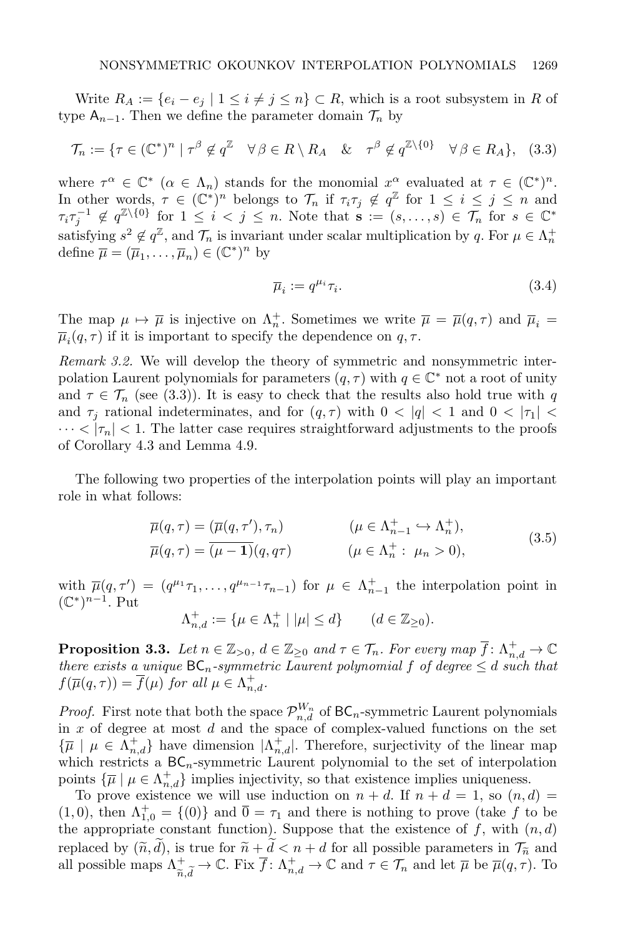Write  $R_A := \{e_i - e_j \mid 1 \leq i \neq j \leq n\} \subset R$ , which is a root subsystem in R of type  $A_{n-1}$ . Then we define the parameter domain  $\mathcal{T}_n$  by

$$
\mathcal{T}_n := \{ \tau \in (\mathbb{C}^*)^n \mid \tau^\beta \notin q^{\mathbb{Z}} \quad \forall \beta \in R \setminus R_A \quad \& \quad \tau^\beta \notin q^{\mathbb{Z} \setminus \{0\}} \quad \forall \beta \in R_A \}, \tag{3.3}
$$

where  $\tau^{\alpha} \in \mathbb{C}^*$   $(\alpha \in \Lambda_n)$  stands for the monomial  $x^{\alpha}$  evaluated at  $\tau \in (\mathbb{C}^*)^n$ . In other words,  $\tau \in (\mathbb{C}^*)^n$  belongs to  $\mathcal{T}_n$  if  $\tau_i \tau_j \notin q^{\mathbb{Z}}$  for  $1 \leq i \leq j \leq n$  and  $\tau_i\tau_j^{-1} \notin q^{\mathbb{Z}\setminus\{0\}}$  for  $1 \leq i < j \leq n$ . Note that  $\mathbf{s} := (s, \ldots, s) \in \mathcal{T}_n$  for  $s \in \mathbb{C}^*$ satisfying  $s^2 \notin q^{\mathbb{Z}}$ , and  $\mathcal{T}_n$  is invariant under scalar multiplication by q. For  $\mu \in \Lambda_n^+$ define  $\overline{\mu} = (\overline{\mu}_1, \dots, \overline{\mu}_n) \in (\mathbb{C}^*)^n$  by

$$
\overline{\mu}_i := q^{\mu_i} \tau_i. \tag{3.4}
$$

The map  $\mu \mapsto \overline{\mu}$  is injective on  $\Lambda_n^+$ . Sometimes we write  $\overline{\mu} = \overline{\mu}(q, \tau)$  and  $\overline{\mu}_i =$  $\overline{\mu}_i(q,\tau)$  if it is important to specify the dependence on  $q, \tau$ .

Remark 3.2. We will develop the theory of symmetric and nonsymmetric interpolation Laurent polynomials for parameters  $(q, \tau)$  with  $q \in \mathbb{C}^*$  not a root of unity and  $\tau \in \mathcal{T}_n$  (see (3.3)). It is easy to check that the results also hold true with q and  $\tau_i$  rational indeterminates, and for  $(q, \tau)$  with  $0 < |q| < 1$  and  $0 < |\tau_1| <$  $\cdots < |\tau_n| < 1$ . The latter case requires straightforward adjustments to the proofs of Corollary 4.3 and Lemma 4.9.

The following two properties of the interpolation points will play an important role in what follows:

$$
\overline{\mu}(q,\tau) = (\overline{\mu}(q,\tau'),\tau_n) \qquad (\mu \in \Lambda_{n-1}^+ \hookrightarrow \Lambda_n^+), \n\overline{\mu}(q,\tau) = (\overline{\mu-1})(q,q\tau) \qquad (\mu \in \Lambda_n^+ : \mu_n > 0),
$$
\n(3.5)

with  $\overline{\mu}(q, \tau') = (q^{\mu_1} \tau_1, \ldots, q^{\mu_{n-1}} \tau_{n-1})$  for  $\mu \in \Lambda_{n-1}^+$  the interpolation point in  $(\mathbb{C}^*)^{n-1}$ . Put

$$
\Lambda_{n,d}^+ := \{ \mu \in \Lambda_n^+ \mid |\mu| \le d \} \qquad (d \in \mathbb{Z}_{\ge 0}).
$$

**Proposition 3.3.** Let  $n \in \mathbb{Z}_{>0}$ ,  $d \in \mathbb{Z}_{\geq 0}$  and  $\tau \in \mathcal{T}_n$ . For every map  $\overline{f} \colon \Lambda_{n,d}^+ \to \mathbb{C}$ there exists a unique  $BC_n$ -symmetric Laurent polynomial f of degree  $\leq d$  such that  $f(\overline{\mu}(q,\tau)) = \overline{f}(\mu)$  for all  $\mu \in \Lambda_{n,d}^+$ .

*Proof.* First note that both the space  $\mathcal{P}_{n,d}^{W_n}$  of  $\mathsf{BC}_n$ -symmetric Laurent polynomials in  $x$  of degree at most  $d$  and the space of complex-valued functions on the set  $\{\overline{\mu} \mid \mu \in \Lambda_{n,d}^+\}$  have dimension  $|\Lambda_{n,d}^+|$ . Therefore, surjectivity of the linear map which restricts a  $BC_n$ -symmetric Laurent polynomial to the set of interpolation points  $\{\overline{\mu} \mid \mu \in \Lambda_{n,d}^+\}$  implies injectivity, so that existence implies uniqueness.

To prove existence we will use induction on  $n + d$ . If  $n + d = 1$ , so  $(n, d) =$  $(1,0)$ , then  $\Lambda_{1,0}^+ = \{(0)\}\$ and  $\overline{0} = \tau_1$  and there is nothing to prove (take f to be the appropriate constant function). Suppose that the existence of  $f$ , with  $(n, d)$ replaced by  $(\tilde{n}, \tilde{d})$ , is true for  $\tilde{n} + \tilde{d} < n + d$  for all possible parameters in  $\mathcal{T}_{\tilde{n}}$  and all possible maps  $\Lambda^+_{\tilde{n},\tilde{d}} \to \mathbb{C}$ . Fix  $\overline{f}$ :  $\Lambda^+_{n,d} \to \mathbb{C}$  and  $\tau \in \mathcal{T}_n$  and let  $\overline{\mu}$  be  $\overline{\mu}(q,\tau)$ . To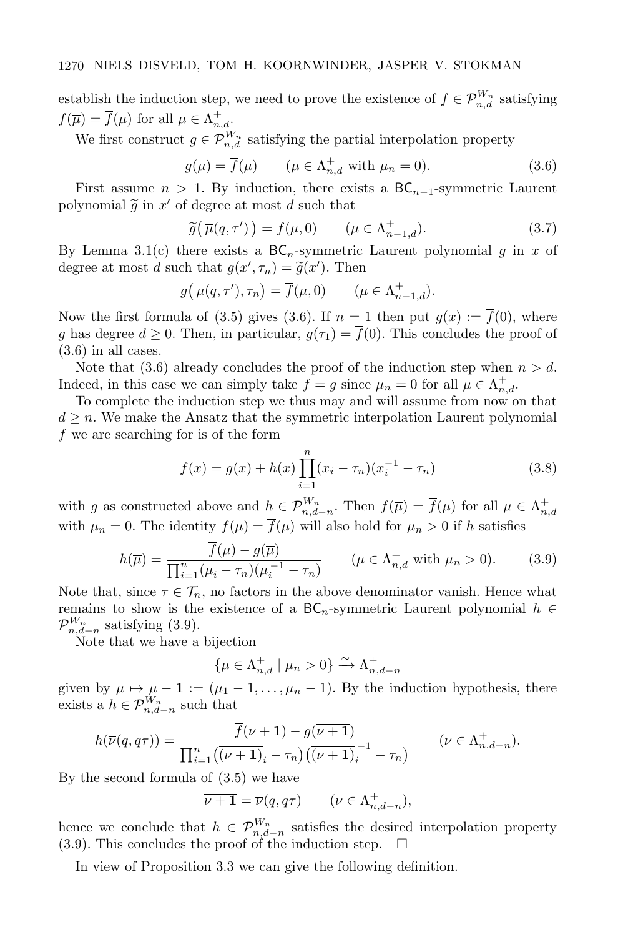establish the induction step, we need to prove the existence of  $f \in \mathcal{P}_{n,d}^{W_n}$  satisfying  $f(\overline{\mu}) = \overline{f}(\mu)$  for all  $\mu \in \Lambda_{n,d}^+$ .

We first construct  $g \in \mathcal{P}_{n,d}^{W_n}$  satisfying the partial interpolation property

$$
g(\overline{\mu}) = \overline{f}(\mu) \qquad (\mu \in \Lambda_{n,d}^+ \text{ with } \mu_n = 0).
$$
 (3.6)

First assume  $n > 1$ . By induction, there exists a BC<sub>n−1</sub>-symmetric Laurent polynomial  $\widetilde{g}$  in  $x'$  of degree at most d such that

$$
\widetilde{g}(\overline{\mu}(q,\tau')) = \overline{f}(\mu,0) \qquad (\mu \in \Lambda_{n-1,d}^+). \tag{3.7}
$$

By Lemma 3.1(c) there exists a  $BC_n$ -symmetric Laurent polynomial g in x of degree at most d such that  $g(x', \tau_n) = \tilde{g}(x')$ . Then

$$
g(\overline{\mu}(q,\tau'),\tau_n) = \overline{f}(\mu,0) \qquad (\mu \in \Lambda_{n-1,d}^+).
$$

Now the first formula of (3.5) gives (3.6). If  $n = 1$  then put  $g(x) := \overline{f}(0)$ , where g has degree  $d \geq 0$ . Then, in particular,  $g(\tau_1) = \overline{f}(0)$ . This concludes the proof of (3.6) in all cases.

Note that (3.6) already concludes the proof of the induction step when  $n > d$ . Indeed, in this case we can simply take  $f = g$  since  $\mu_n = 0$  for all  $\mu \in \Lambda_{n,d}^+$ .

To complete the induction step we thus may and will assume from now on that  $d \geq n$ . We make the Ansatz that the symmetric interpolation Laurent polynomial f we are searching for is of the form

$$
f(x) = g(x) + h(x) \prod_{i=1}^{n} (x_i - \tau_n)(x_i^{-1} - \tau_n)
$$
\n(3.8)

with g as constructed above and  $h \in \mathcal{P}_{n,d-n}^{W_n}$ . Then  $f(\overline{\mu}) = \overline{f}(\mu)$  for all  $\mu \in \Lambda_{n,d}^+$ with  $\mu_n = 0$ . The identity  $f(\overline{\mu}) = \overline{f}(\mu)$  will also hold for  $\mu_n > 0$  if h satisfies

$$
h(\overline{\mu}) = \frac{\overline{f}(\mu) - g(\overline{\mu})}{\prod_{i=1}^{n} (\overline{\mu}_i - \tau_n)(\overline{\mu}_i^{-1} - \tau_n)} \qquad (\mu \in \Lambda_{n,d}^+ \text{ with } \mu_n > 0).
$$
 (3.9)

Note that, since  $\tau \in \mathcal{T}_n$ , no factors in the above denominator vanish. Hence what remains to show is the existence of a  $BC_n$ -symmetric Laurent polynomial  $h \in$  $\mathcal{P}_{n,d-n}^{W_n}$  satisfying (3.9).

Note that we have a bijection

$$
\{\mu \in \Lambda_{n,d}^+ \mid \mu_n > 0\} \xrightarrow{\sim} \Lambda_{n,d-n}^+
$$

given by  $\mu \mapsto \mu - 1 := (\mu_1 - 1, \dots, \mu_n - 1)$ . By the induction hypothesis, there exists a  $h \in \mathcal{P}_{n,d-n}^{W_n}$  such that

$$
h(\overline{\nu}(q,q\tau)) = \frac{\overline{f}(\nu+1) - g(\overline{\nu+1})}{\prod_{i=1}^n ((\nu+1)_i - \tau_n) ((\nu+1)_i^{-1} - \tau_n)} \qquad (\nu \in \Lambda_{n,d-n}^+).
$$

By the second formula of (3.5) we have

$$
\overline{\nu+1} = \overline{\nu}(q, q\tau) \qquad (\nu \in \Lambda_{n, d-n}^+),
$$

hence we conclude that  $h \in \mathcal{P}_{n,d-n}^{W_n}$  satisfies the desired interpolation property  $(3.9)$ . This concludes the proof of the induction step.  $\Box$ 

In view of Proposition 3.3 we can give the following definition.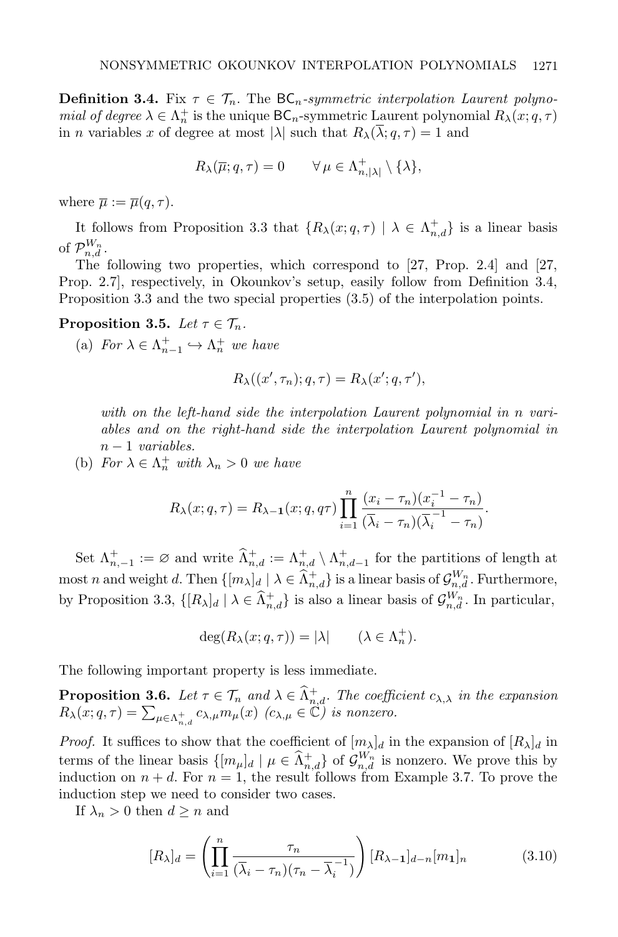**Definition 3.4.** Fix  $\tau \in \mathcal{T}_n$ . The  $BC_n$ -symmetric interpolation Laurent polynomial of degree  $\lambda \in \Lambda_n^+$  is the unique  $\mathsf{BC}_n$ -symmetric Laurent polynomial  $R_\lambda(x; q, \tau)$ in *n* variables x of degree at most  $|\lambda|$  such that  $R_\lambda(\overline{\lambda}; q, \tau) = 1$  and

$$
R_\lambda(\overline{\mu};q,\tau) = 0 \qquad \forall \, \mu \in \Lambda_{n,|\lambda|}^+ \setminus \{\lambda\},
$$

where  $\overline{\mu} := \overline{\mu}(q, \tau)$ .

It follows from Proposition 3.3 that  $\{R_\lambda(x; q, \tau) \mid \lambda \in \Lambda_{n,d}^+\}$  is a linear basis of  $\mathcal{P}_{n,d}^{W_n}$ .

The following two properties, which correspond to [27, Prop. 2.4] and [27, Prop. 2.7], respectively, in Okounkov's setup, easily follow from Definition 3.4, Proposition 3.3 and the two special properties (3.5) of the interpolation points.

Proposition 3.5. Let  $\tau \in \mathcal{T}_n$ .

(a) For  $\lambda \in \Lambda_{n-1}^+ \hookrightarrow \Lambda_n^+$  we have

$$
R_{\lambda}((x', \tau_n); q, \tau) = R_{\lambda}(x'; q, \tau'),
$$

with on the left-hand side the interpolation Laurent polynomial in n variables and on the right-hand side the interpolation Laurent polynomial in  $n-1$  variables.

(b) For  $\lambda \in \Lambda_n^+$  with  $\lambda_n > 0$  we have

$$
R_{\lambda}(x;q,\tau) = R_{\lambda-1}(x;q,q\tau) \prod_{i=1}^{n} \frac{(x_i - \tau_n)(x_i^{-1} - \tau_n)}{(\overline{\lambda}_i - \tau_n)(\overline{\lambda}_i^{-1} - \tau_n)}.
$$

Set  $\Lambda_{n,-1}^+ := \varnothing$  and write  $\widehat{\Lambda}_{n,d}^+ := \Lambda_{n,d}^+ \setminus \Lambda_{n,d-1}^+$  for the partitions of length at most n and weight d. Then  $\{[m_\lambda]_d \mid \lambda \in \widehat{\Lambda}_{n,d}^+\}$  is a linear basis of  $\mathcal{G}_{n,d}^{W_n}$ . Furthermore, by Proposition 3.3,  $\{[R_{\lambda}]_d \mid \lambda \in \hat{\Lambda}_{n,d}^+\}$  is also a linear basis of  $\mathcal{G}_{n,d}^{W_n}$ . In particular,

$$
\deg(R_{\lambda}(x;q,\tau)) = |\lambda| \qquad (\lambda \in \Lambda_n^+).
$$

The following important property is less immediate.

**Proposition 3.6.** Let  $\tau \in \mathcal{T}_n$  and  $\lambda \in \hat{\Lambda}_{n,d}^+$ . The coefficient  $c_{\lambda,\lambda}$  in the expansion  $R_{\lambda}(x;q,\tau) = \sum_{\mu \in \Lambda_{n,d}^+} c_{\lambda,\mu} m_{\mu}(x)$  ( $c_{\lambda,\mu} \in \mathbb{C}$ ) is nonzero.

*Proof.* It suffices to show that the coefficient of  $[m_\lambda]_d$  in the expansion of  $[R_\lambda]_d$  in terms of the linear basis  $\{[m_\mu]_d | \mu \in \hat{\Lambda}_{n,d}^+\}$  of  $\mathcal{G}_{n,d}^{W_n}$  is nonzero. We prove this by induction on  $n + d$ . For  $n = 1$ , the result follows from Example 3.7. To prove the induction step we need to consider two cases.

If  $\lambda_n > 0$  then  $d \geq n$  and

$$
[R_{\lambda}]_d = \left(\prod_{i=1}^n \frac{\tau_n}{(\overline{\lambda}_i - \tau_n)(\tau_n - \overline{\lambda}_i^{-1})}\right) [R_{\lambda-1}]_{d-n} [m_1]_n \tag{3.10}
$$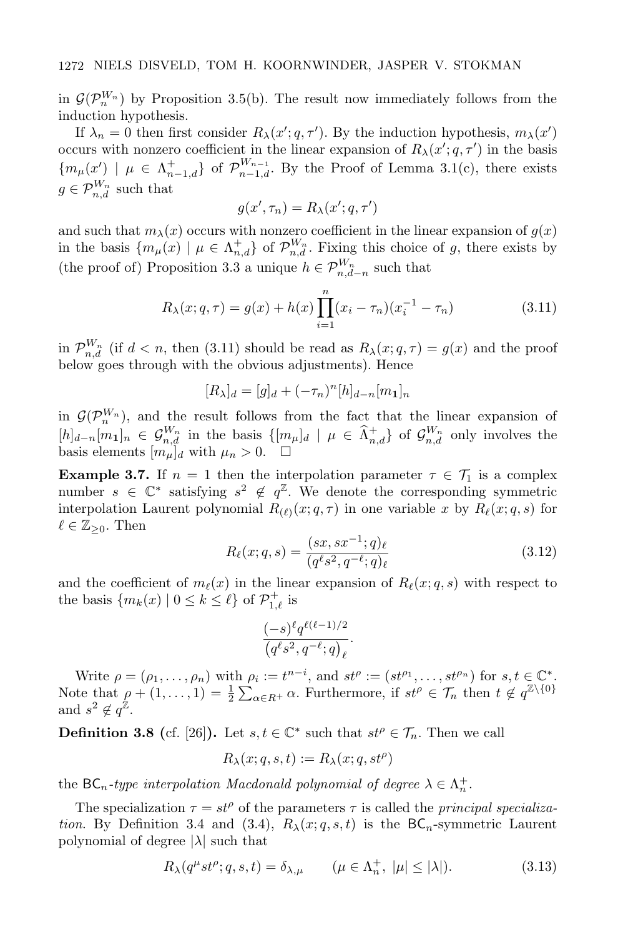in  $\mathcal{G}(\mathcal{P}_n^{W_n})$  by Proposition 3.5(b). The result now immediately follows from the induction hypothesis.

If  $\lambda_n = 0$  then first consider  $R_\lambda(x'; q, \tau')$ . By the induction hypothesis,  $m_\lambda(x')$ occurs with nonzero coefficient in the linear expansion of  $R_{\lambda}(x'; q, \tau')$  in the basis  ${m<sub>\mu</sub>(x') \mid \mu \in \Lambda_{n-1,d}^+}$  of  $\mathcal{P}_{n-1,d}^{W_{n-1}}$ . By the Proof of Lemma 3.1(c), there exists  $g \in \mathcal{P}_{n,d}^{W_n}$  such that

$$
g(x', \tau_n) = R_{\lambda}(x'; q, \tau')
$$

and such that  $m_{\lambda}(x)$  occurs with nonzero coefficient in the linear expansion of  $g(x)$ in the basis  $\{m_{\mu}(x) \mid \mu \in \Lambda_{n,d}^+\}$  of  $\mathcal{P}_{n,d}^{W_n}$ . Fixing this choice of g, there exists by (the proof of) Proposition 3.3 a unique  $h \in \mathcal{P}_{n,d-n}^{W_n}$  such that

$$
R_{\lambda}(x;q,\tau) = g(x) + h(x) \prod_{i=1}^{n} (x_i - \tau_n)(x_i^{-1} - \tau_n)
$$
\n(3.11)

in  $\mathcal{P}_{n,d}^{W_n}$  (if  $d < n$ , then (3.11) should be read as  $R_\lambda(x; q, \tau) = g(x)$  and the proof below goes through with the obvious adjustments). Hence

$$
[R_{\lambda}]_d = [g]_d + (-\tau_n)^n [h]_{d-n} [m_1]_n
$$

in  $\mathcal{G}(\mathcal{P}_n^{W_n})$ , and the result follows from the fact that the linear expansion of  $[h]_{d-n}[m_1]_n \in \mathcal{G}_{n,d}^{W_n}$  in the basis  $\{[m_\mu]_d \mid \mu \in \hat{\Lambda}_{n,d}^+\}$  of  $\mathcal{G}_{n,d}^{W_n}$  only involves the basis elements  $[m_\mu]_d$  with  $\mu_n > 0$ .

**Example 3.7.** If  $n = 1$  then the interpolation parameter  $\tau \in \mathcal{T}_1$  is a complex number  $s \in \mathbb{C}^*$  satisfying  $s^2 \notin q^{\mathbb{Z}}$ . We denote the corresponding symmetric interpolation Laurent polynomial  $R_{(\ell)}(x; q, \tau)$  in one variable x by  $R_{\ell}(x; q, s)$  for  $\ell \in \mathbb{Z}_{\geq 0}$ . Then

$$
R_{\ell}(x;q,s) = \frac{(sx,sx^{-1};q)_{\ell}}{(q^{\ell}s^2, q^{-\ell};q)_{\ell}} \tag{3.12}
$$

and the coefficient of  $m_{\ell}(x)$  in the linear expansion of  $R_{\ell}(x; q, s)$  with respect to the basis  $\{m_k(x) | 0 \le k \le \ell\}$  of  $\mathcal{P}^+_{1,\ell}$  is

$$
\frac{(-s)^\ell q^{\ell(\ell-1)/2}}{\left(q^\ell s^2,q^{-\ell};q\right)_\ell}.
$$

Write  $\rho = (\rho_1, \ldots, \rho_n)$  with  $\rho_i := t^{n-i}$ , and  $st^{\rho} := (st^{\rho_1}, \ldots, st^{\rho_n})$  for  $s, t \in \mathbb{C}^*$ . Note that  $\rho + (1, \ldots, 1) = \frac{1}{2} \sum_{\alpha \in R^+} \alpha$ . Furthermore, if  $st^{\rho} \in \mathcal{T}_n$  then  $t \notin q^{\mathbb{Z} \setminus \{0\}}$ and  $s^2 \notin q^{\mathbb{Z}}$ .

**Definition 3.8** (cf. [26]). Let  $s, t \in \mathbb{C}^*$  such that  $st^{\rho} \in \mathcal{T}_n$ . Then we call

$$
R_{\lambda}(x;q,s,t) := R_{\lambda}(x;q,st^{\rho})
$$

the BC<sub>n</sub>-type interpolation Macdonald polynomial of degree  $\lambda \in \Lambda_n^+$ .

The specialization  $\tau = st^{\rho}$  of the parameters  $\tau$  is called the *principal specializa*tion. By Definition 3.4 and (3.4),  $R_{\lambda}(x;q,s,t)$  is the BC<sub>n</sub>-symmetric Laurent polynomial of degree  $|\lambda|$  such that

$$
R_{\lambda}(q^{\mu}st^{\rho};q,s,t) = \delta_{\lambda,\mu} \qquad (\mu \in \Lambda_n^+, \ |\mu| \le |\lambda|). \tag{3.13}
$$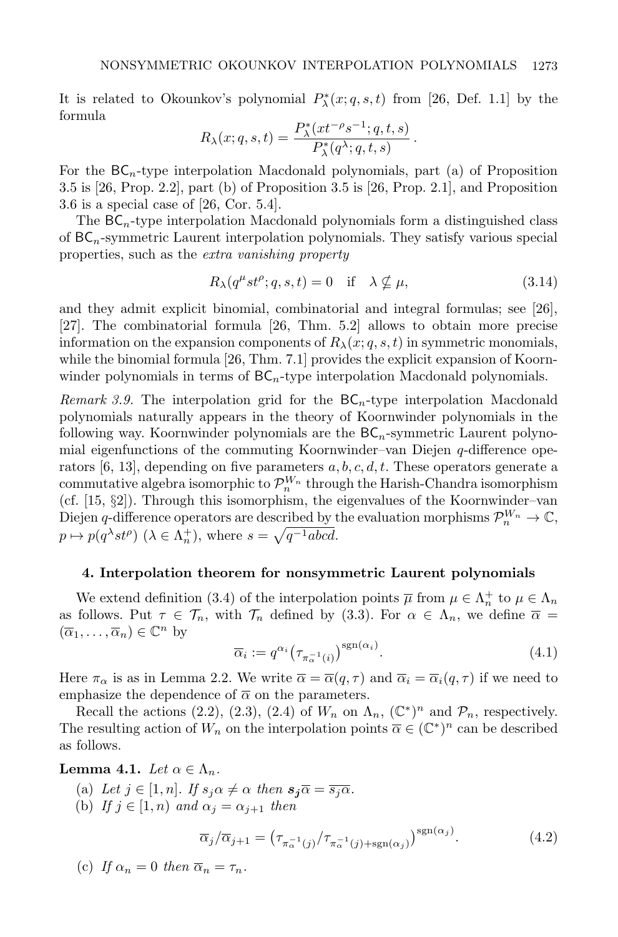It is related to Okounkov's polynomial  $P^*_{\lambda}(x;q,s,t)$  from [26, Def. 1.1] by the formula

$$
R_{\lambda}(x;q,s,t) = \frac{P_{\lambda}^{*}(xt^{-\rho}s^{-1};q,t,s)}{P_{\lambda}^{*}(q^{\lambda};q,t,s)}.
$$

For the  $BC_n$ -type interpolation Macdonald polynomials, part (a) of Proposition 3.5 is [26, Prop. 2.2], part (b) of Proposition 3.5 is [26, Prop. 2.1], and Proposition 3.6 is a special case of [26, Cor. 5.4].

The  $BC_n$ -type interpolation Macdonald polynomials form a distinguished class of  $BC_n$ -symmetric Laurent interpolation polynomials. They satisfy various special properties, such as the extra vanishing property

$$
R_{\lambda}(q^{\mu}st^{\rho};q,s,t) = 0 \quad \text{if} \quad \lambda \nsubseteq \mu,
$$
\n(3.14)

and they admit explicit binomial, combinatorial and integral formulas; see [26], [27]. The combinatorial formula [26, Thm. 5.2] allows to obtain more precise information on the expansion components of  $R_\lambda(x; q, s, t)$  in symmetric monomials, while the binomial formula [26, Thm. 7.1] provides the explicit expansion of Koornwinder polynomials in terms of  $BC_n$ -type interpolation Macdonald polynomials.

Remark 3.9. The interpolation grid for the  $BC_n$ -type interpolation Macdonald polynomials naturally appears in the theory of Koornwinder polynomials in the following way. Koornwinder polynomials are the  $BC_n$ -symmetric Laurent polynomial eigenfunctions of the commuting Koornwinder–van Diejen  $q$ -difference operators [6, 13], depending on five parameters  $a, b, c, d, t$ . These operators generate a commutative algebra isomorphic to  $\mathcal{P}_n^{W_n}$  through the Harish-Chandra isomorphism (cf. [15, §2]). Through this isomorphism, the eigenvalues of the Koornwinder–van Diejen q-difference operators are described by the evaluation morphisms  $\mathcal{P}_n^{W_n} \to \mathbb{C}$ ,  $p \mapsto p(q^{\lambda} s t^{\rho}) \ (\lambda \in \Lambda_n^+), \text{ where } s = \sqrt{q^{-1} abcd}.$ 

#### 4. Interpolation theorem for nonsymmetric Laurent polynomials

We extend definition (3.4) of the interpolation points  $\overline{\mu}$  from  $\mu \in \Lambda_n^+$  to  $\mu \in \Lambda_n$ as follows. Put  $\tau \in \mathcal{T}_n$ , with  $\mathcal{T}_n$  defined by (3.3). For  $\alpha \in \Lambda_n$ , we define  $\overline{\alpha} =$  $(\overline{\alpha}_1,\ldots,\overline{\alpha}_n)\in\mathbb{C}^n$  by

$$
\overline{\alpha}_i := q^{\alpha_i} \left( \tau_{\pi_\alpha^{-1}(i)} \right)^{\text{sgn}(\alpha_i)}.
$$
\n(4.1)

Here  $\pi_{\alpha}$  is as in Lemma 2.2. We write  $\overline{\alpha} = \overline{\alpha}(q, \tau)$  and  $\overline{\alpha}_i = \overline{\alpha}_i(q, \tau)$  if we need to emphasize the dependence of  $\bar{\alpha}$  on the parameters.

Recall the actions (2.2), (2.3), (2.4) of  $W_n$  on  $\Lambda_n$ ,  $(\mathbb{C}^*)^n$  and  $\mathcal{P}_n$ , respectively. The resulting action of  $W_n$  on the interpolation points  $\overline{\alpha} \in (\mathbb{C}^*)^n$  can be described as follows.

#### **Lemma 4.1.** Let  $\alpha \in \Lambda_n$ .

- (a) Let  $j \in [1, n]$ . If  $s_j \alpha \neq \alpha$  then  $s_j \overline{\alpha} = \overline{s_j \alpha}$ .
- (b) If  $j \in [1, n)$  and  $\alpha_j = \alpha_{j+1}$  then

$$
\overline{\alpha}_j/\overline{\alpha}_{j+1} = \left(\tau_{\pi_\alpha^{-1}(j)}/\tau_{\pi_\alpha^{-1}(j)+\text{sgn}(\alpha_j)}\right)^{\text{sgn}(\alpha_j)}.\tag{4.2}
$$

(c) If 
$$
\alpha_n = 0
$$
 then  $\overline{\alpha}_n = \tau_n$ .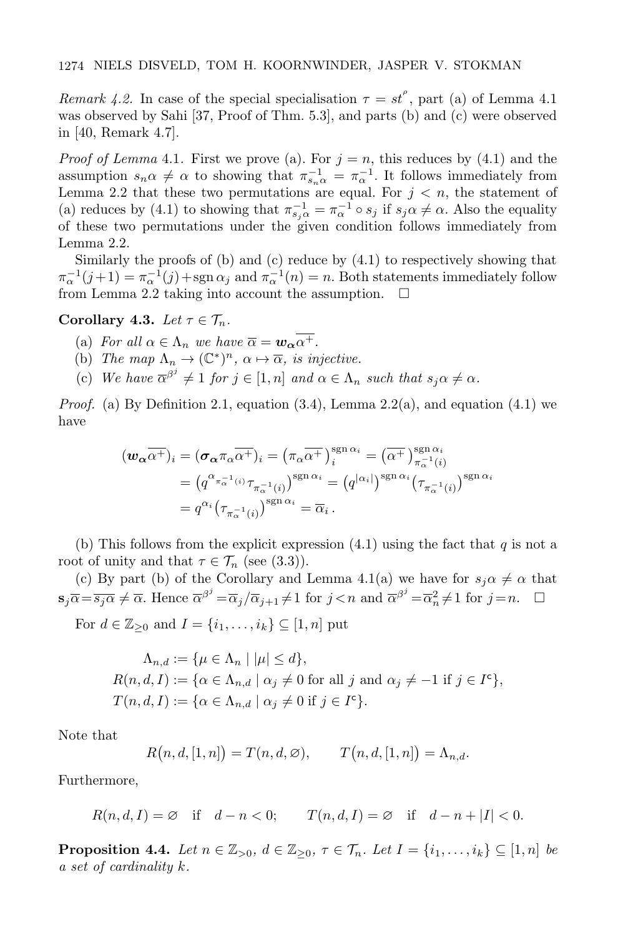Remark 4.2. In case of the special specialisation  $\tau = st^{\rho}$ , part (a) of Lemma 4.1 was observed by Sahi [37, Proof of Thm. 5.3], and parts (b) and (c) were observed in [40, Remark 4.7].

*Proof of Lemma* 4.1. First we prove (a). For  $j = n$ , this reduces by (4.1) and the assumption  $s_n \alpha \neq \alpha$  to showing that  $\pi_{s_n}^{-1} = \pi_{\alpha}^{-1}$ . It follows immediately from Lemma 2.2 that these two permutations are equal. For  $j < n$ , the statement of (a) reduces by (4.1) to showing that  $\pi_{s_j \alpha}^{-1} = \pi_{\alpha}^{-1} \circ s_j$  if  $s_j \alpha \neq \alpha$ . Also the equality of these two permutations under the given condition follows immediately from Lemma 2.2.

Similarly the proofs of (b) and (c) reduce by (4.1) to respectively showing that  $\pi_{\alpha}^{-1}(j+1) = \pi_{\alpha}^{-1}(j) + \text{sgn}\,\alpha_j$  and  $\pi_{\alpha}^{-1}(n) = n$ . Both statements immediately follow from Lemma 2.2 taking into account the assumption.  $\Box$ 

#### Corollary 4.3. Let  $\tau \in \mathcal{T}_n$ .

- (a) For all  $\alpha \in \Lambda_n$  we have  $\overline{\alpha} = \mathbf{w}_{\alpha} \overline{\alpha^+}.$
- (b) The map  $\Lambda_n \to (\mathbb{C}^*)^n$ ,  $\alpha \mapsto \overline{\alpha}$ , is injective.
- (c) We have  $\overline{\alpha}^{\beta^j} \neq 1$  for  $j \in [1, n]$  and  $\alpha \in \Lambda_n$  such that  $s_j \alpha \neq \alpha$ .

*Proof.* (a) By Definition 2.1, equation  $(3.4)$ , Lemma 2.2(a), and equation  $(4.1)$  we have

$$
\begin{split} (\boldsymbol{w}_{\boldsymbol{\alpha}} \overline{\alpha^{+}})_{i} &= (\boldsymbol{\sigma}_{\boldsymbol{\alpha}} \pi_{\boldsymbol{\alpha}} \overline{\alpha^{+}})_{i} = (\pi_{\boldsymbol{\alpha}} \overline{\alpha^{+}})_{i}^{\operatorname{sgn} \alpha_{i}} = (\overline{\alpha^{+}})_{\pi_{\boldsymbol{\alpha}}^{-1}(i)}^{\operatorname{sgn} \alpha_{i}} \\ &= (q^{\alpha_{\pi_{\boldsymbol{\alpha}}^{-1}(i)}} \tau_{\pi_{\boldsymbol{\alpha}}^{-1}(i)})^{\operatorname{sgn} \alpha_{i}} = (q^{|\alpha_{i}|})^{\operatorname{sgn} \alpha_{i}} (\tau_{\pi_{\boldsymbol{\alpha}}^{-1}(i)})^{\operatorname{sgn} \alpha_{i}} \\ &= q^{\alpha_{i}} (\tau_{\pi_{\boldsymbol{\alpha}}^{-1}(i)})^{\operatorname{sgn} \alpha_{i}} = \overline{\alpha}_{i} \, . \end{split}
$$

(b) This follows from the explicit expression  $(4.1)$  using the fact that q is not a root of unity and that  $\tau \in \mathcal{T}_n$  (see (3.3)).

(c) By part (b) of the Corollary and Lemma 4.1(a) we have for  $s_i \alpha \neq \alpha$  that  $\mathbf{s}_j \overline{\alpha} = \overline{s_j \alpha} \neq \overline{\alpha}$ . Hence  $\overline{\alpha}^{\beta^j} = \overline{\alpha}_j / \overline{\alpha}_{j+1} \neq 1$  for  $j < n$  and  $\overline{\alpha}^{\beta^j} = \overline{\alpha}_n^2 \neq 1$  for  $j = n$ .  $\Box$ 

For  $d \in \mathbb{Z}_{\geq 0}$  and  $I = \{i_1, \ldots, i_k\} \subseteq [1, n]$  put

$$
\Lambda_{n,d} := \{ \mu \in \Lambda_n \mid |\mu| \le d \},
$$
  
\n
$$
R(n,d,I) := \{ \alpha \in \Lambda_{n,d} \mid \alpha_j \neq 0 \text{ for all } j \text{ and } \alpha_j \neq -1 \text{ if } j \in I^c \},
$$
  
\n
$$
T(n,d,I) := \{ \alpha \in \Lambda_{n,d} \mid \alpha_j \neq 0 \text{ if } j \in I^c \}.
$$

Note that

$$
R(n, d, [1, n]) = T(n, d, \emptyset), \qquad T(n, d, [1, n]) = \Lambda_{n, d}.
$$

Furthermore,

$$
R(n,d,I) = \emptyset \quad \text{if} \quad d-n<0; \qquad T(n,d,I) = \emptyset \quad \text{if} \quad d-n+|I|<0.
$$

**Proposition 4.4.** Let  $n \in \mathbb{Z}_{>0}$ ,  $d \in \mathbb{Z}_{\geq 0}$ ,  $\tau \in \mathcal{T}_n$ . Let  $I = \{i_1, \ldots, i_k\} \subseteq [1, n]$  be a set of cardinality k.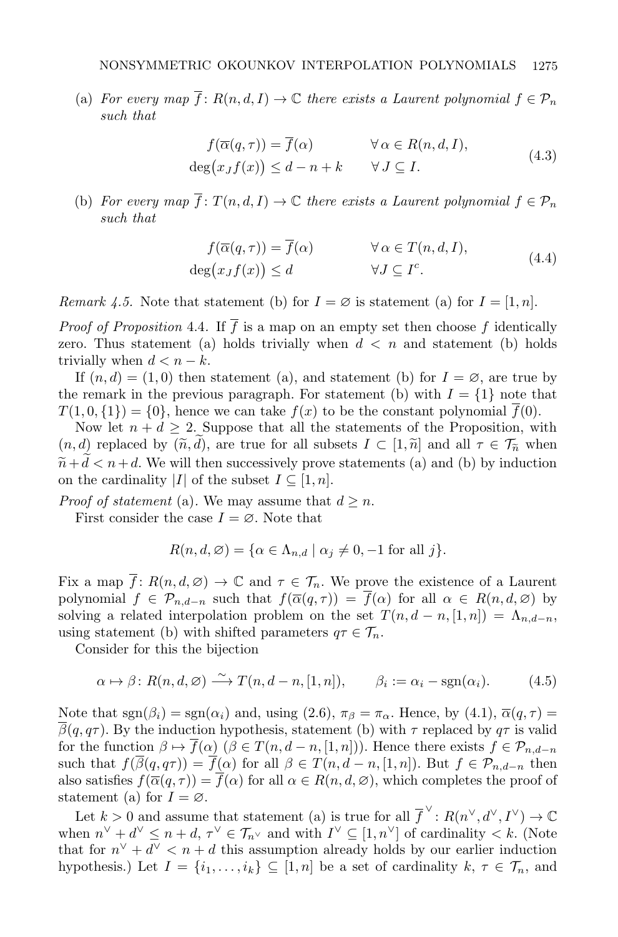(a) For every map  $\overline{f}$ :  $R(n, d, I) \to \mathbb{C}$  there exists a Laurent polynomial  $f \in \mathcal{P}_n$ such that

$$
f(\overline{\alpha}(q,\tau)) = \overline{f}(\alpha) \qquad \forall \alpha \in R(n,d,I),
$$
  
\n
$$
\deg(x_J f(x)) \leq d - n + k \qquad \forall J \subseteq I.
$$
\n(4.3)

(b) For every map  $\overline{f}$ :  $T(n, d, I) \to \mathbb{C}$  there exists a Laurent polynomial  $f \in \mathcal{P}_n$ such that

$$
f(\overline{\alpha}(q,\tau)) = \overline{f}(\alpha) \qquad \forall \alpha \in T(n,d,I),
$$
  
\n
$$
\deg(x_J f(x)) \le d \qquad \forall J \subseteq I^c.
$$
\n(4.4)

Remark 4.5. Note that statement (b) for  $I = \emptyset$  is statement (a) for  $I = [1, n]$ .

*Proof of Proposition* 4.4. If  $\overline{f}$  is a map on an empty set then choose f identically zero. Thus statement (a) holds trivially when  $d < n$  and statement (b) holds trivially when  $d < n - k$ .

If  $(n, d) = (1, 0)$  then statement (a), and statement (b) for  $I = \emptyset$ , are true by the remark in the previous paragraph. For statement (b) with  $I = \{1\}$  note that  $T(1, 0, \{1\}) = \{0\}$ , hence we can take  $f(x)$  to be the constant polynomial  $\overline{f}(0)$ .

Now let  $n + d \geq 2$ . Suppose that all the statements of the Proposition, with  $(n, d)$  replaced by  $(\tilde{n}, d)$ , are true for all subsets  $I \subset [1, \tilde{n}]$  and all  $\tau \in \mathcal{T}_{\tilde{n}}$  when  $\widetilde{n} + d < n + d$ . We will then successively prove statements (a) and (b) by induction on the cardinality |I| of the subset  $I \subseteq [1, n]$ .

*Proof of statement* (a). We may assume that  $d \geq n$ .

First consider the case  $I = \emptyset$ . Note that

$$
R(n, d, \varnothing) = \{ \alpha \in \Lambda_{n,d} \mid \alpha_j \neq 0, -1 \text{ for all } j \}.
$$

Fix a map  $\overline{f}$ :  $R(n, d, \emptyset) \to \mathbb{C}$  and  $\tau \in \mathcal{T}_n$ . We prove the existence of a Laurent polynomial  $f \in \mathcal{P}_{n,d-n}$  such that  $f(\overline{\alpha}(q,\tau)) = \overline{f}(\alpha)$  for all  $\alpha \in R(n,d,\emptyset)$  by solving a related interpolation problem on the set  $T(n, d - n, [1, n]) = \Lambda_{n, d-n}$ , using statement (b) with shifted parameters  $q\tau \in \mathcal{T}_n$ .

Consider for this the bijection

$$
\alpha \mapsto \beta \colon R(n, d, \emptyset) \xrightarrow{\sim} T(n, d-n, [1, n]), \qquad \beta_i := \alpha_i - \text{sgn}(\alpha_i). \tag{4.5}
$$

Note that  $sgn(\beta_i) = sgn(\alpha_i)$  and, using (2.6),  $\pi_\beta = \pi_\alpha$ . Hence, by (4.1),  $\overline{\alpha}(q, \tau) =$  $\overline{\beta}(q, q\tau)$ . By the induction hypothesis, statement (b) with  $\tau$  replaced by  $q\tau$  is valid for the function  $\beta \mapsto \overline{f}(\alpha)$   $(\beta \in T(n, d-n, [1, n]))$ . Hence there exists  $f \in \mathcal{P}_{n,d-n}$ such that  $f(\overline{\beta}(q, q\tau)) = \overline{f}(\alpha)$  for all  $\beta \in T(n, d-n, [1, n])$ . But  $f \in \mathcal{P}_{n,d-n}$  then also satisfies  $f(\overline{\alpha}(q,\tau)) = \overline{f}(\alpha)$  for all  $\alpha \in R(n,d,\emptyset)$ , which completes the proof of statement (a) for  $I = \emptyset$ .

Let  $k > 0$  and assume that statement (a) is true for all  $\overline{f}^{\vee}$ :  $R(n^{\vee}, d^{\vee}, I^{\vee}) \to \mathbb{C}$ when  $n^{\vee} + d^{\vee} \leq n + d$ ,  $\tau^{\vee} \in \mathcal{T}_{n^{\vee}}$  and with  $I^{\vee} \subseteq [1, n^{\vee}]$  of cardinality  $\lt k$ . (Note that for  $n^{\vee} + d^{\vee} < n + d$  this assumption already holds by our earlier induction hypothesis.) Let  $I = \{i_1, \ldots, i_k\} \subseteq [1, n]$  be a set of cardinality  $k, \tau \in \mathcal{T}_n$ , and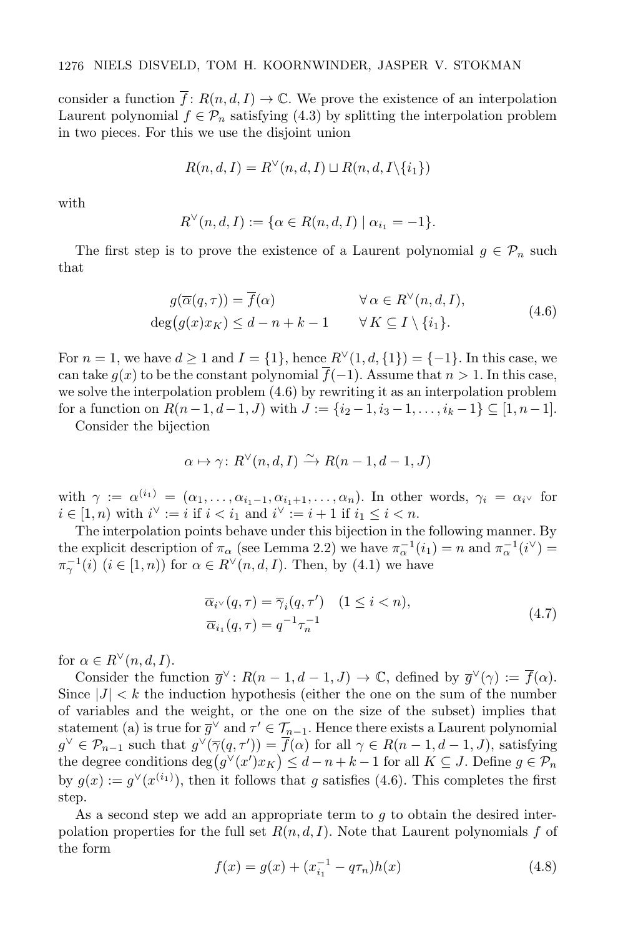consider a function  $\overline{f}$ :  $R(n, d, I) \to \mathbb{C}$ . We prove the existence of an interpolation Laurent polynomial  $f \in \mathcal{P}_n$  satisfying (4.3) by splitting the interpolation problem in two pieces. For this we use the disjoint union

$$
R(n, d, I) = R^{\vee}(n, d, I) \sqcup R(n, d, I \setminus \{i_1\})
$$

with

$$
R^{\vee}(n, d, I) := \{ \alpha \in R(n, d, I) \mid \alpha_{i_1} = -1 \}.
$$

The first step is to prove the existence of a Laurent polynomial  $g \in \mathcal{P}_n$  such that

$$
g(\overline{\alpha}(q,\tau)) = \overline{f}(\alpha) \qquad \forall \alpha \in R^{\vee}(n,d,I),
$$
  
\n
$$
\deg(g(x)x_K) \leq d - n + k - 1 \qquad \forall K \subseteq I \setminus \{i_1\}. \tag{4.6}
$$

For  $n = 1$ , we have  $d > 1$  and  $I = \{1\}$ , hence  $R^{\vee}(1, d, \{1\}) = \{-1\}$ . In this case, we can take  $g(x)$  to be the constant polynomial  $\overline{f}(-1)$ . Assume that  $n > 1$ . In this case, we solve the interpolation problem (4.6) by rewriting it as an interpolation problem for a function on  $R(n-1, d-1, J)$  with  $J := \{i_2 - 1, i_3 - 1, \ldots, i_k - 1\} \subseteq [1, n-1]$ .

Consider the bijection

$$
\alpha \mapsto \gamma \colon R^{\vee}(n, d, I) \xrightarrow{\sim} R(n - 1, d - 1, J)
$$

with  $\gamma := \alpha^{(i_1)} = (\alpha_1, \ldots, \alpha_{i_1-1}, \alpha_{i_1+1}, \ldots, \alpha_n)$ . In other words,  $\gamma_i = \alpha_i$  for  $i \in [1, n)$  with  $i^{\vee} := i$  if  $i < i_1$  and  $i^{\vee} := i + 1$  if  $i_1 \leq i < n$ .

The interpolation points behave under this bijection in the following manner. By the explicit description of  $\pi_{\alpha}$  (see Lemma 2.2) we have  $\pi_{\alpha}^{-1}(i_1) = n$  and  $\pi_{\alpha}^{-1}(i^{\vee}) =$  $\pi_{\gamma}^{-1}(i)$   $(i \in [1, n))$  for  $\alpha \in R^{\vee}(n, d, I)$ . Then, by  $(4.1)$  we have

$$
\overline{\alpha}_{i} \vee (q, \tau) = \overline{\gamma}_{i} (q, \tau') \quad (1 \le i < n),
$$
  
\n
$$
\overline{\alpha}_{i_1} (q, \tau) = q^{-1} \tau_n^{-1}
$$
\n(4.7)

for  $\alpha \in R^{\vee}(n, d, I)$ .

Consider the function  $\overline{g}^{\vee}$ :  $R(n-1, d-1, J) \to \mathbb{C}$ , defined by  $\overline{g}^{\vee}(\gamma) := \overline{f}(\alpha)$ . Since  $|J| < k$  the induction hypothesis (either the one on the sum of the number of variables and the weight, or the one on the size of the subset) implies that statement (a) is true for  $\overline{g}^{\vee}$  and  $\tau' \in \mathcal{T}_{n-1}$ . Hence there exists a Laurent polynomial  $g^{\vee} \in \mathcal{P}_{n-1}$  such that  $g^{\vee}(\overline{\gamma}(q, \tau')) = \overline{f}(\alpha)$  for all  $\gamma \in R(n-1, d-1, J)$ , satisfying the degree conditions  $\deg(g^{\vee}(x')x_K) \leq d-n+k-1$  for all  $K \subseteq J$ . Define  $g \in \mathcal{P}_n$ by  $g(x) := g^{\vee}(x^{(i_1)})$ , then it follows that g satisfies (4.6). This completes the first step.

As a second step we add an appropriate term to  $g$  to obtain the desired interpolation properties for the full set  $R(n, d, I)$ . Note that Laurent polynomials f of the form

$$
f(x) = g(x) + (x_{i_1}^{-1} - q\tau_n)h(x)
$$
\n(4.8)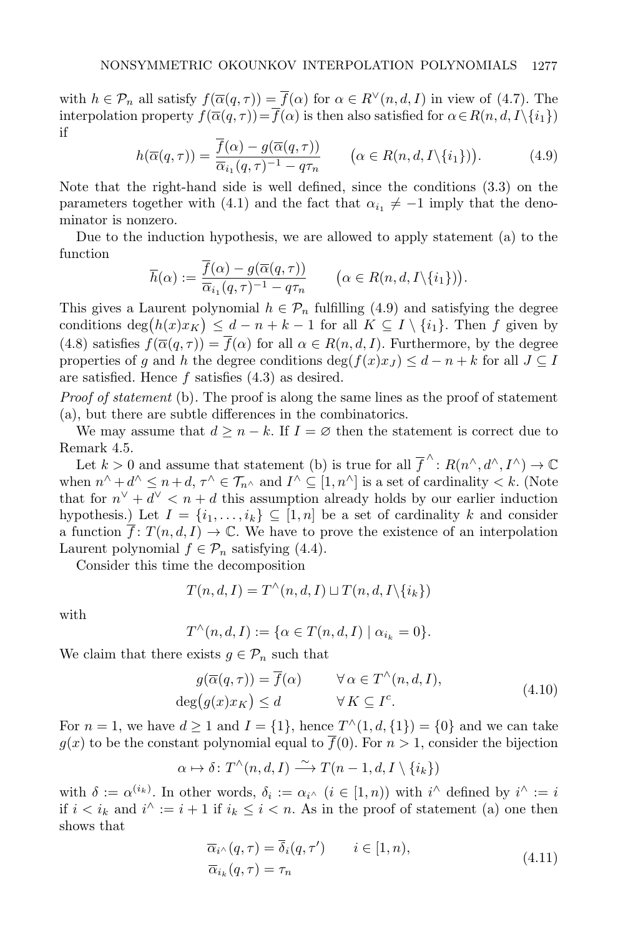with  $h \in \mathcal{P}_n$  all satisfy  $f(\overline{\alpha}(q, \tau)) = \overline{f}(\alpha)$  for  $\alpha \in R^{\vee}(n, d, I)$  in view of (4.7). The interpolation property  $f(\overline{\alpha}(q, \tau)) = \overline{f}(\alpha)$  is then also satisfied for  $\alpha \in R(n, d, I \setminus \{i_1\})$ if

$$
h(\overline{\alpha}(q,\tau)) = \frac{f(\alpha) - g(\overline{\alpha}(q,\tau))}{\overline{\alpha}_{i_1}(q,\tau)^{-1} - q\tau_n} \qquad (\alpha \in R(n,d,\mathcal{I} \setminus \{i_1\})). \tag{4.9}
$$

Note that the right-hand side is well defined, since the conditions (3.3) on the parameters together with (4.1) and the fact that  $\alpha_{i_1} \neq -1$  imply that the denominator is nonzero.

Due to the induction hypothesis, we are allowed to apply statement (a) to the function

$$
\overline{h}(\alpha) := \frac{\overline{f}(\alpha) - g(\overline{\alpha}(q, \tau))}{\overline{\alpha}_{i_1}(q, \tau)^{-1} - q\tau_n} \qquad (\alpha \in R(n, d, I \setminus \{i_1\})).
$$

This gives a Laurent polynomial  $h \in \mathcal{P}_n$  fulfilling (4.9) and satisfying the degree conditions  $\deg(h(x)x_K) \leq d-n+k-1$  for all  $K \subseteq I \setminus \{i_1\}$ . Then f given by (4.8) satisfies  $f(\overline{\alpha}(q,\tau)) = \overline{f}(\alpha)$  for all  $\alpha \in R(n,d,I)$ . Furthermore, by the degree properties of q and h the degree conditions deg( $f(x)x_J$ )  $\leq d-n+k$  for all  $J\subseteq I$ are satisfied. Hence  $f$  satisfies  $(4.3)$  as desired.

Proof of statement (b). The proof is along the same lines as the proof of statement (a), but there are subtle differences in the combinatorics.

We may assume that  $d \geq n - k$ . If  $I = \emptyset$  then the statement is correct due to Remark 4.5.

Let  $k > 0$  and assume that statement (b) is true for all  $\overline{f}^{\wedge}$ :  $R(n^{\wedge}, d^{\wedge}, I^{\wedge}) \to \mathbb{C}$ when  $n^{\wedge} + d^{\wedge} \leq n + d, \tau^{\wedge} \in \mathcal{T}_{n^{\wedge}}$  and  $I^{\wedge} \subseteq [1, n^{\wedge}]$  is a set of cardinality  $\lt k$ . (Note that for  $n^{\vee} + d^{\vee} < n + d$  this assumption already holds by our earlier induction hypothesis.) Let  $I = \{i_1, \ldots, i_k\} \subseteq [1, n]$  be a set of cardinality k and consider a function  $\overline{f}$ :  $T(n, d, I) \to \mathbb{C}$ . We have to prove the existence of an interpolation Laurent polynomial  $f \in \mathcal{P}_n$  satisfying (4.4).

Consider this time the decomposition

$$
T(n, d, I) = T^{\wedge}(n, d, I) \sqcup T(n, d, I \setminus \{i_k\})
$$

with

$$
T^{\wedge}(n,d,I) := \{ \alpha \in T(n,d,I) \mid \alpha_{i_k} = 0 \}.
$$

We claim that there exists  $g \in \mathcal{P}_n$  such that

$$
g(\overline{\alpha}(q,\tau)) = \overline{f}(\alpha) \qquad \forall \alpha \in T^{\wedge}(n,d,I),
$$
  
\n
$$
\deg(g(x)x_K) \le d \qquad \forall K \subseteq I^c.
$$
\n(4.10)

For  $n = 1$ , we have  $d \ge 1$  and  $I = \{1\}$ , hence  $T^{\wedge}(1, d, \{1\}) = \{0\}$  and we can take  $g(x)$  to be the constant polynomial equal to  $\overline{f}(0)$ . For  $n > 1$ , consider the bijection

$$
\alpha \mapsto \delta \colon T^{\wedge}(n,d,I) \xrightarrow{\sim} T(n-1,d,I \setminus \{i_k\})
$$

with  $\delta := \alpha^{(i_k)}$ . In other words,  $\delta_i := \alpha_{i} \land (i \in [1, n))$  with  $i \land$  defined by  $i \land := i$ if  $i < i_k$  and  $i^{\wedge} := i + 1$  if  $i_k \leq i < n$ . As in the proof of statement (a) one then shows that

$$
\overline{\alpha}_{i} \wedge (q, \tau) = \overline{\delta}_{i}(q, \tau') \qquad i \in [1, n),
$$
  
\n
$$
\overline{\alpha}_{i_k}(q, \tau) = \tau_n
$$
\n(4.11)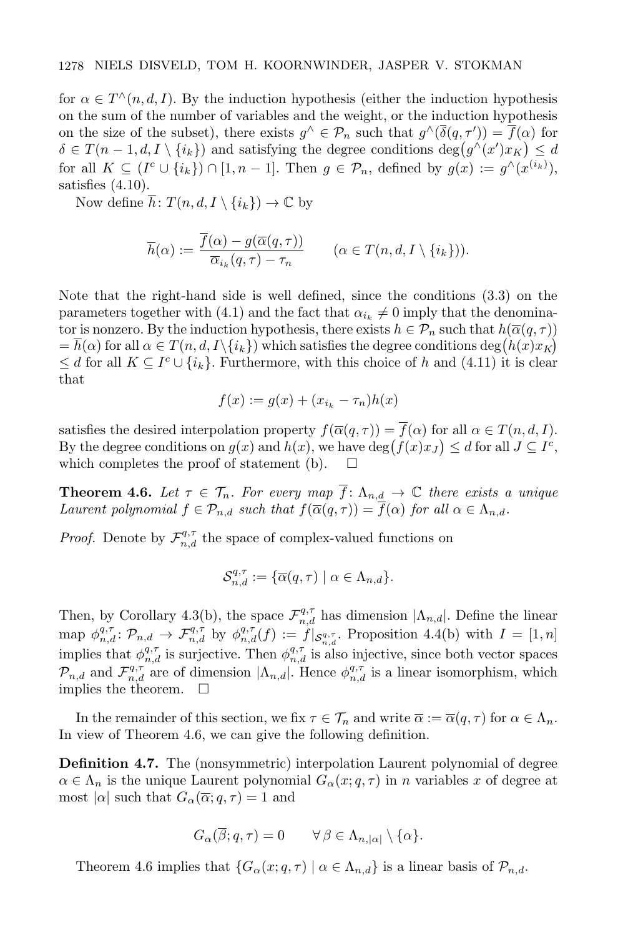for  $\alpha \in T^{\wedge}(n, d, I)$ . By the induction hypothesis (either the induction hypothesis on the sum of the number of variables and the weight, or the induction hypothesis on the size of the subset), there exists  $g^{\wedge} \in \mathcal{P}_n$  such that  $g^{\wedge}(\overline{\delta}(q, \tau')) = \overline{f}(\alpha)$  for  $\delta \in T(n-1, d, I \setminus \{i_k\})$  and satisfying the degree conditions  $\deg(g^{\wedge}(x')x_K) \leq d$ for all  $K \subseteq (I^c \cup \{i_k\}) \cap [1, n-1]$ . Then  $g \in \mathcal{P}_n$ , defined by  $g(x) := g^{\wedge}(x^{(i_k)})$ , satisfies  $(4.10)$ .

Now define  $\overline{h}: T(n, d, I \setminus \{i_k\}) \to \mathbb{C}$  by

$$
\overline{h}(\alpha) := \frac{\overline{f}(\alpha) - g(\overline{\alpha}(q, \tau))}{\overline{\alpha}_{i_k}(q, \tau) - \tau_n} \qquad (\alpha \in T(n, d, I \setminus \{i_k\})).
$$

Note that the right-hand side is well defined, since the conditions (3.3) on the parameters together with (4.1) and the fact that  $\alpha_{i_k} \neq 0$  imply that the denominator is nonzero. By the induction hypothesis, there exists  $h \in \mathcal{P}_n$  such that  $h(\overline{\alpha}(q, \tau))$  $=\overline{h}(\alpha)$  for all  $\alpha \in T(n,d,I\setminus\{i_k\})$  which satisfies the degree conditions  $\deg(h(x)x_K)$  $\leq d$  for all  $K \subseteq I^c \cup \{i_k\}$ . Furthermore, with this choice of h and (4.11) it is clear that

$$
f(x) := g(x) + (x_{i_k} - \tau_n)h(x)
$$

satisfies the desired interpolation property  $f(\overline{\alpha}(q, \tau)) = \overline{f}(\alpha)$  for all  $\alpha \in T(n, d, I)$ . By the degree conditions on  $g(x)$  and  $h(x)$ , we have  $\deg(f(x)x_J) \leq d$  for all  $J \subseteq I^c$ , which completes the proof of statement (b).  $\Box$ 

**Theorem 4.6.** Let  $\tau \in \mathcal{T}_n$ . For every map  $\overline{f}$ :  $\Lambda_{n,d} \to \mathbb{C}$  there exists a unique Laurent polynomial  $f \in \mathcal{P}_{n,d}$  such that  $f(\overline{\alpha}(q,\tau)) = \overline{f}(\alpha)$  for all  $\alpha \in \Lambda_{n,d}$ .

*Proof.* Denote by  $\mathcal{F}_{n,d}^{q,\tau}$  the space of complex-valued functions on

$$
\mathcal{S}_{n,d}^{q,\tau} := \{ \overline{\alpha}(q,\tau) \mid \alpha \in \Lambda_{n,d} \}.
$$

Then, by Corollary 4.3(b), the space  $\mathcal{F}_{n,d}^{q,\tau}$  has dimension  $|\Lambda_{n,d}|$ . Define the linear map  $\phi_{n,d}^{q,\tau}$ :  $\mathcal{P}_{n,d} \to \mathcal{F}_{n,d}^{q,\tau}$  by  $\phi_{n,d}^{q,\tau}(f) := f|_{\mathcal{S}_{n,d}^{q,\tau}}$ . Proposition 4.4(b) with  $I = [1,n]$ implies that  $\phi_{n,d}^{q,\tau}$  is surjective. Then  $\phi_{n,d}^{q,\tau}$  is also injective, since both vector spaces  $\mathcal{P}_{n,d}$  and  $\mathcal{F}_{n,d}^{q,\tau}$  are of dimension  $|\Lambda_{n,d}|$ . Hence  $\phi_{n,d}^{q,\tau}$  is a linear isomorphism, which implies the theorem.  $\square$ 

In the remainder of this section, we fix  $\tau \in \mathcal{T}_n$  and write  $\overline{\alpha} := \overline{\alpha}(q, \tau)$  for  $\alpha \in \Lambda_n$ . In view of Theorem 4.6, we can give the following definition.

Definition 4.7. The (nonsymmetric) interpolation Laurent polynomial of degree  $\alpha \in \Lambda_n$  is the unique Laurent polynomial  $G_{\alpha}(x; q, \tau)$  in n variables x of degree at most  $|\alpha|$  such that  $G_{\alpha}(\overline{\alpha}; q, \tau) = 1$  and

$$
G_{\alpha}(\overline{\beta};q,\tau) = 0 \qquad \forall \beta \in \Lambda_{n,|\alpha|} \setminus \{\alpha\}.
$$

Theorem 4.6 implies that  $\{G_{\alpha}(x;q,\tau) \mid \alpha \in \Lambda_{n,d}\}\$ is a linear basis of  $\mathcal{P}_{n,d}$ .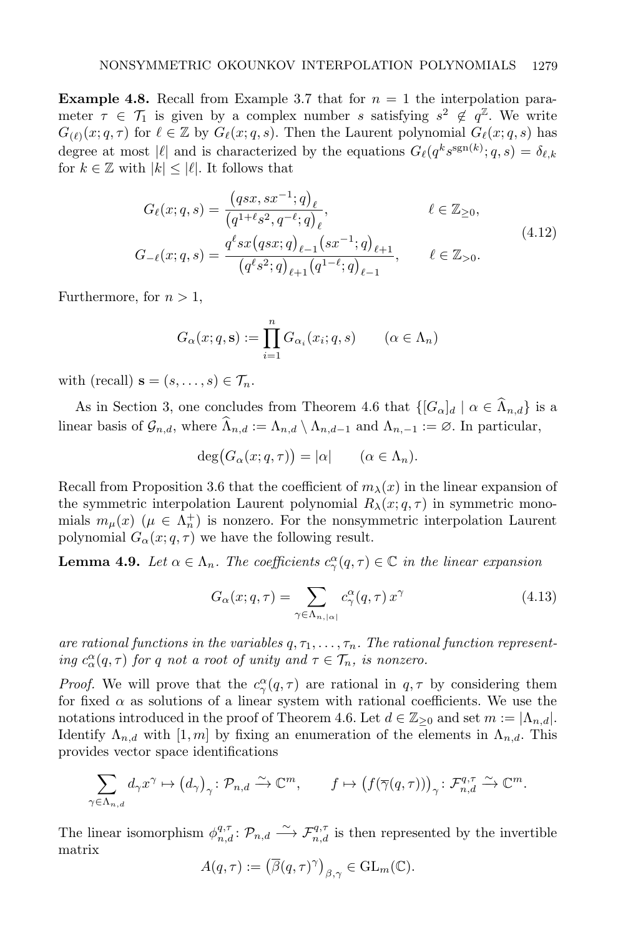**Example 4.8.** Recall from Example 3.7 that for  $n = 1$  the interpolation parameter  $\tau \in \mathcal{T}_1$  is given by a complex number s satisfying  $s^2 \notin q^{\mathbb{Z}}$ . We write  $G_{(\ell)}(x; q, \tau)$  for  $\ell \in \mathbb{Z}$  by  $G_{\ell}(x; q, s)$ . Then the Laurent polynomial  $G_{\ell}(x; q, s)$  has degree at most  $|\ell|$  and is characterized by the equations  $G_{\ell}(q^k s^{\text{sgn}(k)}; q, s) = \delta_{\ell,k}$ for  $k \in \mathbb{Z}$  with  $|k| \leq |\ell|$ . It follows that

$$
G_{\ell}(x;q,s) = \frac{(qsx, sx^{-1};q)_{\ell}}{(q^{1+\ell}s^2, q^{-\ell};q)_{\ell}}, \qquad \ell \in \mathbb{Z}_{\geq 0},
$$
  

$$
G_{-\ell}(x;q,s) = \frac{q^{\ell}sx(qsx;q)_{\ell-1}(sx^{-1};q)_{\ell+1}}{(q^{\ell}s^2;q)_{\ell+1}(q^{1-\ell};q)_{\ell-1}}, \qquad \ell \in \mathbb{Z}_{> 0}.
$$
  
(4.12)

Furthermore, for  $n > 1$ ,

$$
G_{\alpha}(x;q,\mathbf{s}) := \prod_{i=1}^{n} G_{\alpha_i}(x_i;q,s) \qquad (\alpha \in \Lambda_n)
$$

with (recall)  $\mathbf{s} = (s, \ldots, s) \in \mathcal{T}_n$ .

As in Section 3, one concludes from Theorem 4.6 that  $\{[G_\alpha]_d \mid \alpha \in \widehat{\Lambda}_{n,d}\}\$ is a linear basis of  $\mathcal{G}_{n,d}$ , where  $\widehat{\Lambda}_{n,d} := \Lambda_{n,d} \setminus \Lambda_{n,d-1}$  and  $\Lambda_{n,-1} := \emptyset$ . In particular,

$$
\deg(G_{\alpha}(x;q,\tau)) = |\alpha| \qquad (\alpha \in \Lambda_n).
$$

Recall from Proposition 3.6 that the coefficient of  $m_{\lambda}(x)$  in the linear expansion of the symmetric interpolation Laurent polynomial  $R_{\lambda}(x; q, \tau)$  in symmetric monomials  $m_{\mu}(x)$  ( $\mu \in \Lambda_n^+$ ) is nonzero. For the nonsymmetric interpolation Laurent polynomial  $G_{\alpha}(x; q, \tau)$  we have the following result.

**Lemma 4.9.** Let  $\alpha \in \Lambda_n$ . The coefficients  $c_{\gamma}^{\alpha}(q, \tau) \in \mathbb{C}$  in the linear expansion

$$
G_{\alpha}(x;q,\tau) = \sum_{\gamma \in \Lambda_{n,|\alpha|}} c_{\gamma}^{\alpha}(q,\tau) x^{\gamma}
$$
\n(4.13)

are rational functions in the variables  $q, \tau_1, \ldots, \tau_n$ . The rational function representing  $c_{\alpha}^{\alpha}(q,\tau)$  for q not a root of unity and  $\tau \in \mathcal{T}_n$ , is nonzero.

*Proof.* We will prove that the  $c^{\alpha}_{\gamma}(q,\tau)$  are rational in  $q, \tau$  by considering them for fixed  $\alpha$  as solutions of a linear system with rational coefficients. We use the notations introduced in the proof of Theorem 4.6. Let  $d \in \mathbb{Z}_{\geq 0}$  and set  $m := |\Lambda_{n,d}|$ . Identify  $\Lambda_{n,d}$  with  $[1,m]$  by fixing an enumeration of the elements in  $\Lambda_{n,d}$ . This provides vector space identifications

$$
\sum_{\gamma \in \Lambda_{n,d}} d_{\gamma} x^{\gamma} \mapsto (d_{\gamma})_{\gamma} : \mathcal{P}_{n,d} \xrightarrow{\sim} \mathbb{C}^m, \qquad f \mapsto (f(\overline{\gamma}(q,\tau)))_{\gamma} : \mathcal{F}_{n,d}^{q,\tau} \xrightarrow{\sim} \mathbb{C}^m.
$$

The linear isomorphism  $\phi_{n,d}^{q,\tau} : \mathcal{P}_{n,d} \longrightarrow \mathcal{F}_{n,d}^{q,\tau}$  is then represented by the invertible matrix

$$
A(q,\tau) := (\overline{\beta}(q,\tau)^{\gamma})_{\beta,\gamma} \in \mathrm{GL}_m(\mathbb{C}).
$$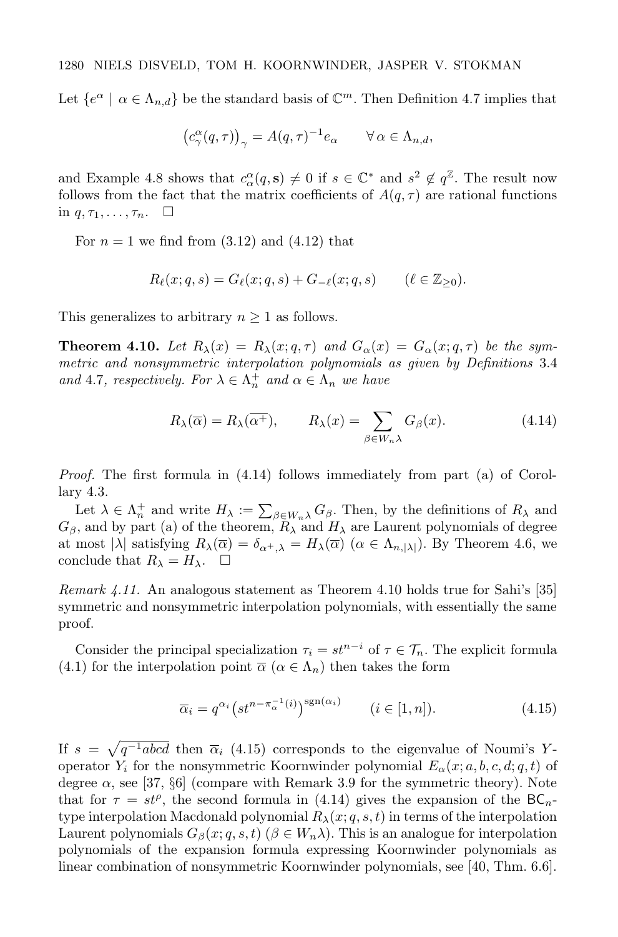Let  $\{e^{\alpha} \mid \alpha \in \Lambda_{n,d}\}$  be the standard basis of  $\mathbb{C}^m$ . Then Definition 4.7 implies that

$$
\left(c_{\gamma}^{\alpha}(q,\tau)\right)_{\gamma} = A(q,\tau)^{-1}e_{\alpha} \qquad \forall \alpha \in \Lambda_{n,d},
$$

and Example 4.8 shows that  $c_{\alpha}^{\alpha}(q, s) \neq 0$  if  $s \in \mathbb{C}^*$  and  $s^2 \notin q^{\mathbb{Z}}$ . The result now follows from the fact that the matrix coefficients of  $A(q, \tau)$  are rational functions in  $q, \tau_1, \ldots, \tau_n$ .  $\Box$ 

For  $n = 1$  we find from  $(3.12)$  and  $(4.12)$  that

$$
R_{\ell}(x;q,s) = G_{\ell}(x;q,s) + G_{-\ell}(x;q,s) \qquad (\ell \in \mathbb{Z}_{\geq 0}).
$$

This generalizes to arbitrary  $n \geq 1$  as follows.

**Theorem 4.10.** Let  $R_{\lambda}(x) = R_{\lambda}(x; q, \tau)$  and  $G_{\alpha}(x) = G_{\alpha}(x; q, \tau)$  be the symmetric and nonsymmetric interpolation polynomials as given by Definitions 3.4 and 4.7, respectively. For  $\lambda \in \Lambda_n^+$  and  $\alpha \in \Lambda_n$  we have

$$
R_{\lambda}(\overline{\alpha}) = R_{\lambda}(\overline{\alpha^{+}}), \qquad R_{\lambda}(x) = \sum_{\beta \in W_{n}\lambda} G_{\beta}(x). \tag{4.14}
$$

Proof. The first formula in (4.14) follows immediately from part (a) of Corollary 4.3.

Let  $\lambda \in \Lambda_n^+$  and write  $H_\lambda := \sum_{\beta \in W_n \lambda} G_\beta$ . Then, by the definitions of  $R_\lambda$  and  $G_{\beta}$ , and by part (a) of the theorem,  $R_{\lambda}$  and  $H_{\lambda}$  are Laurent polynomials of degree at most  $|\lambda|$  satisfying  $R_{\lambda}(\overline{\alpha}) = \delta_{\alpha^+,\lambda} = H_{\lambda}(\overline{\alpha}) \ (\alpha \in \Lambda_{n,|\lambda|})$ . By Theorem 4.6, we conclude that  $R_{\lambda} = H_{\lambda}$ .  $\Box$ 

Remark 4.11. An analogous statement as Theorem 4.10 holds true for Sahi's [35] symmetric and nonsymmetric interpolation polynomials, with essentially the same proof.

Consider the principal specialization  $\tau_i = st^{n-i}$  of  $\tau \in \mathcal{T}_n$ . The explicit formula (4.1) for the interpolation point  $\overline{\alpha}$  ( $\alpha \in \Lambda_n$ ) then takes the form

$$
\overline{\alpha}_i = q^{\alpha_i} \left( st^{n - \pi_\alpha^{-1}(i)} \right)^{\text{sgn}(\alpha_i)} \qquad (i \in [1, n]). \tag{4.15}
$$

If  $s = \sqrt{q^{-1}abcd}$  then  $\overline{\alpha}_i$  (4.15) corresponds to the eigenvalue of Noumi's Yoperator  $Y_i$  for the nonsymmetric Koornwinder polynomial  $E_\alpha(x; a, b, c, d; q, t)$  of degree  $\alpha$ , see [37, §6] (compare with Remark 3.9 for the symmetric theory). Note that for  $\tau = st^{\rho}$ , the second formula in (4.14) gives the expansion of the BC<sub>n</sub>type interpolation Macdonald polynomial  $R_{\lambda}(x; q, s, t)$  in terms of the interpolation Laurent polynomials  $G_{\beta}(x; q, s, t)$  ( $\beta \in W_n \lambda$ ). This is an analogue for interpolation polynomials of the expansion formula expressing Koornwinder polynomials as linear combination of nonsymmetric Koornwinder polynomials, see [40, Thm. 6.6].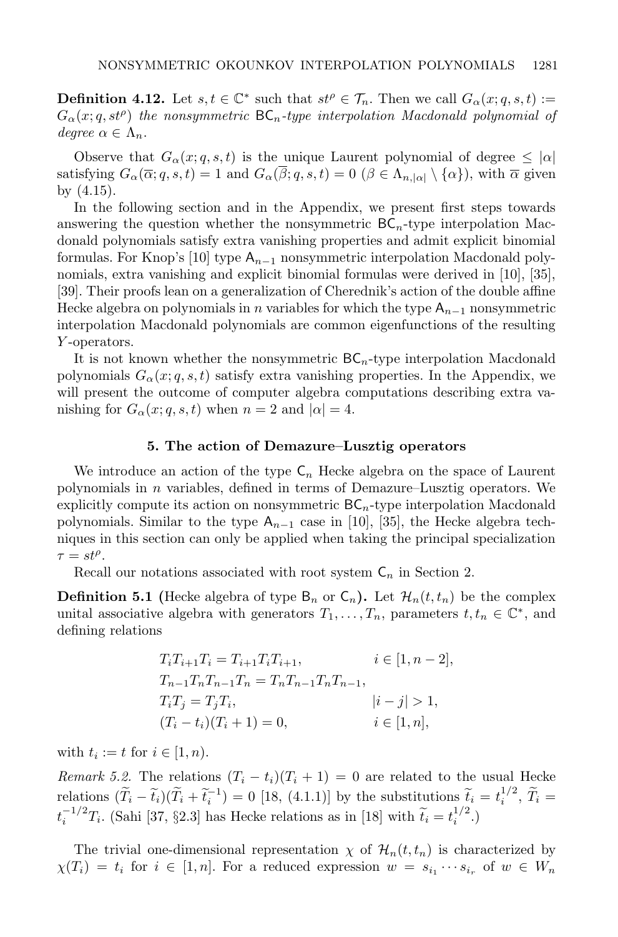**Definition 4.12.** Let  $s, t \in \mathbb{C}^*$  such that  $st^{\rho} \in \mathcal{T}_n$ . Then we call  $G_{\alpha}(x; q, s, t) :=$  $G_{\alpha}(x;q,st^{\rho})$  the nonsymmetric  $\mathsf{BC}_n$ -type interpolation Macdonald polynomial of degree  $\alpha \in \Lambda_n$ .

Observe that  $G_{\alpha}(x; q, s, t)$  is the unique Laurent polynomial of degree  $\leq |\alpha|$ satisfying  $G_{\alpha}(\overline{\alpha}; q, s, t) = 1$  and  $G_{\alpha}(\overline{\beta}; q, s, t) = 0$   $(\beta \in \Lambda_{n, |\alpha|} \setminus {\{\alpha\}})$ , with  $\overline{\alpha}$  given by (4.15).

In the following section and in the Appendix, we present first steps towards answering the question whether the nonsymmetric  $BC_n$ -type interpolation Macdonald polynomials satisfy extra vanishing properties and admit explicit binomial formulas. For Knop's [10] type  $A_{n-1}$  nonsymmetric interpolation Macdonald polynomials, extra vanishing and explicit binomial formulas were derived in [10], [35], [39]. Their proofs lean on a generalization of Cherednik's action of the double affine Hecke algebra on polynomials in n variables for which the type  $A_{n-1}$  nonsymmetric interpolation Macdonald polynomials are common eigenfunctions of the resulting Y -operators.

It is not known whether the nonsymmetric  $BC_n$ -type interpolation Macdonald polynomials  $G_{\alpha}(x; q, s, t)$  satisfy extra vanishing properties. In the Appendix, we will present the outcome of computer algebra computations describing extra vanishing for  $G_{\alpha}(x; q, s, t)$  when  $n = 2$  and  $|\alpha| = 4$ .

#### 5. The action of Demazure–Lusztig operators

We introduce an action of the type  $C_n$  Hecke algebra on the space of Laurent polynomials in *n* variables, defined in terms of Demazure–Lusztig operators. We explicitly compute its action on nonsymmetric  $BC_n$ -type interpolation Macdonald polynomials. Similar to the type  $A_{n-1}$  case in [10], [35], the Hecke algebra techniques in this section can only be applied when taking the principal specialization  $\tau = st^{\rho}$ .

Recall our notations associated with root system  $C_n$  in Section 2.

**Definition 5.1** (Hecke algebra of type  $B_n$  or  $C_n$ ). Let  $\mathcal{H}_n(t,t_n)$  be the complex unital associative algebra with generators  $T_1, \ldots, T_n$ , parameters  $t, t_n \in \mathbb{C}^*$ , and defining relations

$$
T_i T_{i+1} T_i = T_{i+1} T_i T_{i+1}, \t i \in [1, n-2],
$$
  
\n
$$
T_{n-1} T_n T_{n-1} T_n = T_n T_{n-1} T_n T_{n-1},
$$
  
\n
$$
T_i T_j = T_j T_i, \t |i - j| > 1,
$$
  
\n
$$
(T_i - t_i)(T_i + 1) = 0, \t i \in [1, n],
$$

with  $t_i := t$  for  $i \in [1, n)$ .

Remark 5.2. The relations  $(T_i - t_i)(T_i + 1) = 0$  are related to the usual Hecke relations  $(\widetilde{T}_i - \widetilde{t}_i)(\widetilde{T}_i + \widetilde{t}_i^{-1}) = 0$  [18, (4.1.1)] by the substitutions  $\widetilde{t}_i = t_i^{1/2}, \widetilde{T}_i = -1/2$  $t_i^{-1/2}T_i$ . (Sahi [37, §2.3] has Hecke relations as in [18] with  $\widetilde{t}_i = t_i^{1/2}$ .)

The trivial one-dimensional representation  $\chi$  of  $\mathcal{H}_n(t,t_n)$  is characterized by  $\chi(T_i) = t_i$  for  $i \in [1, n]$ . For a reduced expression  $w = s_{i_1} \cdots s_{i_r}$  of  $w \in W_n$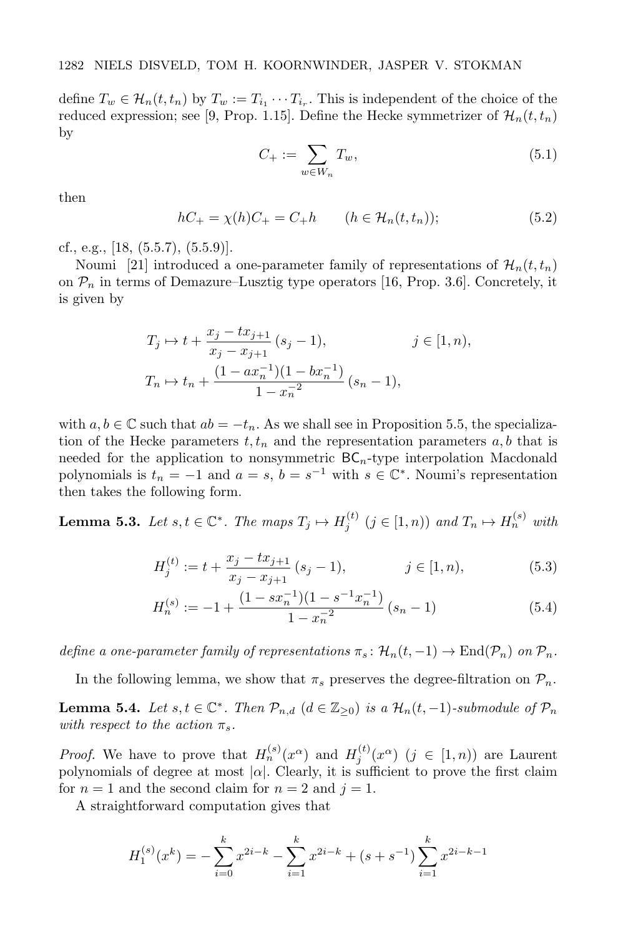define  $T_w \in \mathcal{H}_n(t,t_n)$  by  $T_w := T_{i_1} \cdots T_{i_r}$ . This is independent of the choice of the reduced expression; see [9, Prop. 1.15]. Define the Hecke symmetrizer of  $\mathcal{H}_n(t,t_n)$ by

$$
C_+ := \sum_{w \in W_n} T_w,\tag{5.1}
$$

then

$$
hC_{+} = \chi(h)C_{+} = C_{+}h \qquad (h \in \mathcal{H}_n(t, t_n)); \tag{5.2}
$$

cf., e.g., [18, (5.5.7), (5.5.9)].

Noumi [21] introduced a one-parameter family of representations of  $\mathcal{H}_n(t,t_n)$ on  $\mathcal{P}_n$  in terms of Demazure–Lusztig type operators [16, Prop. 3.6]. Concretely, it is given by

$$
T_j \mapsto t + \frac{x_j - tx_{j+1}}{x_j - x_{j+1}} (s_j - 1), \qquad j \in [1, n),
$$
  

$$
T_n \mapsto t_n + \frac{(1 - ax_n^{-1})(1 - bx_n^{-1})}{1 - x_n^{-2}} (s_n - 1),
$$

with  $a, b \in \mathbb{C}$  such that  $ab = -t_n$ . As we shall see in Proposition 5.5, the specialization of the Hecke parameters  $t, t_n$  and the representation parameters  $a, b$  that is needed for the application to nonsymmetric  $BC_n$ -type interpolation Macdonald polynomials is  $t_n = -1$  and  $a = s$ ,  $b = s^{-1}$  with  $s \in \mathbb{C}^*$ . Noumi's representation then takes the following form.

**Lemma 5.3.** Let  $s, t \in \mathbb{C}^*$ . The maps  $T_j \mapsto H_j^{(t)}$   $(j \in [1, n))$  and  $T_n \mapsto H_n^{(s)}$  with

$$
H_j^{(t)} := t + \frac{x_j - tx_{j+1}}{x_j - x_{j+1}} (s_j - 1), \qquad j \in [1, n), \tag{5.3}
$$

$$
H_n^{(s)} := -1 + \frac{(1 - sx_n^{-1})(1 - s^{-1}x_n^{-1})}{1 - x_n^{-2}} (s_n - 1)
$$
\n(5.4)

define a one-parameter family of representations  $\pi_s \colon \mathcal{H}_n(t,-1) \to \text{End}(\mathcal{P}_n)$  on  $\mathcal{P}_n$ .

In the following lemma, we show that  $\pi_s$  preserves the degree-filtration on  $\mathcal{P}_n$ .

**Lemma 5.4.** Let  $s, t \in \mathbb{C}^*$ . Then  $\mathcal{P}_{n,d}$   $(d \in \mathbb{Z}_{\geq 0})$  is a  $\mathcal{H}_n(t, -1)$ -submodule of  $\mathcal{P}_n$ with respect to the action  $\pi_s$ .

*Proof.* We have to prove that  $H_n^{(s)}(x^{\alpha})$  and  $H_j^{(t)}(x^{\alpha})$   $(j \in [1, n))$  are Laurent polynomials of degree at most  $|\alpha|$ . Clearly, it is sufficient to prove the first claim for  $n = 1$  and the second claim for  $n = 2$  and  $j = 1$ .

A straightforward computation gives that

$$
H_1^{(s)}(x^k) = -\sum_{i=0}^k x^{2i-k} - \sum_{i=1}^k x^{2i-k} + (s+s^{-1})\sum_{i=1}^k x^{2i-k-1}
$$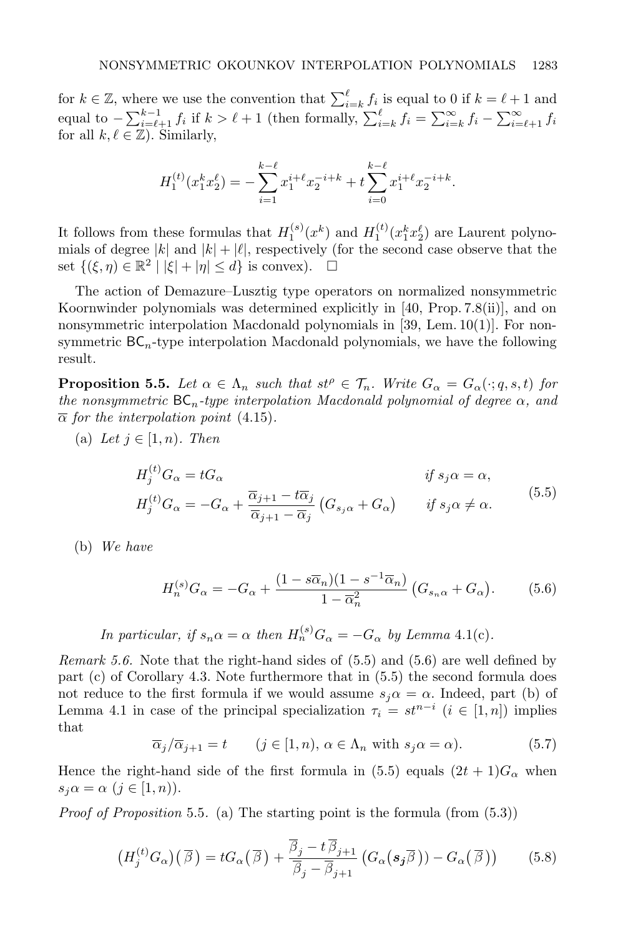for  $k \in \mathbb{Z}$ , where we use the convention that  $\sum_{i=k}^{\ell} f_i$  is equal to 0 if  $k = \ell + 1$  and equal to  $-\sum_{i=\ell+1}^{k-1} f_i$  if  $k > \ell+1$  (then formally,  $\sum_{i=k}^{\ell} f_i = \sum_{i=k}^{\infty} f_i - \sum_{i=\ell+1}^{\infty} f_i$ for all  $k, \ell \in \mathbb{Z}$ ). Similarly,

$$
H_1^{(t)}(x_1^k x_2^\ell) = -\sum_{i=1}^{k-\ell} x_1^{i+\ell} x_2^{-i+k} + t \sum_{i=0}^{k-\ell} x_1^{i+\ell} x_2^{-i+k}.
$$

It follows from these formulas that  $H_1^{(s)}(x^k)$  and  $H_1^{(t)}(x_1^k x_2^{\ell})$  are Laurent polynomials of degree  $|k|$  and  $|k| + |\ell|$ , respectively (for the second case observe that the set  $\{(\xi, \eta) \in \mathbb{R}^2 \mid |\xi| + |\eta| \le d\}$  is convex).  $\square$ 

The action of Demazure–Lusztig type operators on normalized nonsymmetric Koornwinder polynomials was determined explicitly in [40, Prop. 7.8(ii)], and on nonsymmetric interpolation Macdonald polynomials in [39, Lem. 10(1)]. For nonsymmetric  $BC_n$ -type interpolation Macdonald polynomials, we have the following result.

**Proposition 5.5.** Let  $\alpha \in \Lambda_n$  such that  $st^{\rho} \in \mathcal{T}_n$ . Write  $G_{\alpha} = G_{\alpha}(\cdot; q, s, t)$  for the nonsymmetric  $BC_n$ -type interpolation Macdonald polynomial of degree  $\alpha$ , and  $\bar{\alpha}$  for the interpolation point (4.15).

(a) Let  $j \in [1, n)$ . Then

$$
H_j^{(t)}G_{\alpha} = tG_{\alpha} \qquad \qquad \text{if } s_j \alpha = \alpha,
$$
  

$$
H_j^{(t)}G_{\alpha} = -G_{\alpha} + \frac{\overline{\alpha}_{j+1} - t\overline{\alpha}_j}{\overline{\alpha}_{j+1} - \overline{\alpha}_j} (G_{s_j \alpha} + G_{\alpha}) \qquad \text{if } s_j \alpha \neq \alpha.
$$
  
(5.5)

(b) We have

$$
H_n^{(s)}G_\alpha = -G_\alpha + \frac{(1 - s\overline{\alpha}_n)(1 - s^{-1}\overline{\alpha}_n)}{1 - \overline{\alpha}_n^2} \left(G_{s_n\alpha} + G_\alpha\right). \tag{5.6}
$$

In particular, if  $s_n \alpha = \alpha$  then  $H_n^{(s)} G_\alpha = -G_\alpha$  by Lemma 4.1(c).

Remark 5.6. Note that the right-hand sides of  $(5.5)$  and  $(5.6)$  are well defined by part (c) of Corollary 4.3. Note furthermore that in (5.5) the second formula does not reduce to the first formula if we would assume  $s_j \alpha = \alpha$ . Indeed, part (b) of Lemma 4.1 in case of the principal specialization  $\tau_i = st^{n-i}$   $(i \in [1, n])$  implies that

$$
\overline{\alpha}_j/\overline{\alpha}_{j+1} = t \qquad (j \in [1, n), \, \alpha \in \Lambda_n \text{ with } s_j \alpha = \alpha). \tag{5.7}
$$

Hence the right-hand side of the first formula in (5.5) equals  $(2t + 1)G_{\alpha}$  when  $s_i \alpha = \alpha \ (j \in [1, n)).$ 

*Proof of Proposition* 5.5. (a) The starting point is the formula (from  $(5.3)$ )

$$
\left(H_j^{(t)}G_{\alpha}\right)(\overline{\beta}) = tG_{\alpha}\left(\overline{\beta}\right) + \frac{\overline{\beta}_j - t\overline{\beta}_{j+1}}{\overline{\beta}_j - \overline{\beta}_{j+1}}\left(G_{\alpha}\left(\boldsymbol{s}_j\overline{\beta}\right)\right) - G_{\alpha}\left(\overline{\beta}\right)\right) \tag{5.8}
$$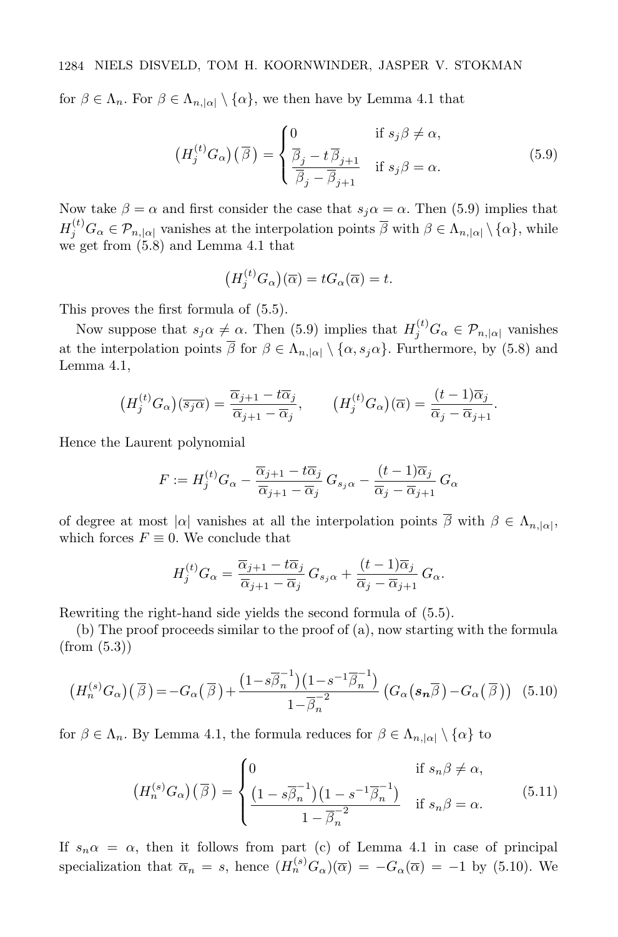for  $\beta \in \Lambda_n$ . For  $\beta \in \Lambda_{n,|\alpha|} \setminus {\alpha}$ , we then have by Lemma 4.1 that

$$
\left(H_j^{(t)}G_{\alpha}\right)(\overline{\beta}) = \begin{cases} 0 & \text{if } s_j\beta \neq \alpha, \\ \frac{\overline{\beta}_j - t\overline{\beta}_{j+1}}{\overline{\beta}_j - \overline{\beta}_{j+1}} & \text{if } s_j\beta = \alpha. \end{cases}
$$
\n
$$
(5.9)
$$

Now take  $\beta = \alpha$  and first consider the case that  $s_i \alpha = \alpha$ . Then (5.9) implies that  $H_j^{(t)} G_\alpha \in \mathcal{P}_{n,|\alpha|}$  vanishes at the interpolation points  $\overline{\beta}$  with  $\beta \in \Lambda_{n,|\alpha|} \setminus {\{\alpha\}}$ , while we get from (5.8) and Lemma 4.1 that

$$
\big(H_j^{(t)}G_{\alpha}\big)(\overline{\alpha})=tG_{\alpha}(\overline{\alpha})=t.
$$

This proves the first formula of (5.5).

Now suppose that  $s_j \alpha \neq \alpha$ . Then (5.9) implies that  $H_j^{(t)} G_\alpha \in \mathcal{P}_{n, |\alpha|}$  vanishes at the interpolation points  $\overline{\beta}$  for  $\beta \in \Lambda_{n,|\alpha|} \setminus {\alpha, s_j \alpha}$ . Furthermore, by (5.8) and Lemma 4.1,

$$
\left(H_j^{(t)}G_{\alpha}\right)(\overline{s_j\alpha}) = \frac{\overline{\alpha}_{j+1} - t\overline{\alpha}_j}{\overline{\alpha}_{j+1} - \overline{\alpha}_j}, \qquad \left(H_j^{(t)}G_{\alpha}\right)(\overline{\alpha}) = \frac{(t-1)\overline{\alpha}_j}{\overline{\alpha}_j - \overline{\alpha}_{j+1}}.
$$

Hence the Laurent polynomial

$$
F := H_j^{(t)} G_{\alpha} - \frac{\overline{\alpha}_{j+1} - t\overline{\alpha}_j}{\overline{\alpha}_{j+1} - \overline{\alpha}_j} G_{s_j \alpha} - \frac{(t-1)\overline{\alpha}_j}{\overline{\alpha}_j - \overline{\alpha}_{j+1}} G_{\alpha}
$$

of degree at most  $|\alpha|$  vanishes at all the interpolation points  $\beta$  with  $\beta \in \Lambda_{n,|\alpha|}$ , which forces  $F \equiv 0$ . We conclude that

$$
H_j^{(t)}G_{\alpha} = \frac{\overline{\alpha}_{j+1} - t\overline{\alpha}_j}{\overline{\alpha}_{j+1} - \overline{\alpha}_j} G_{s_j \alpha} + \frac{(t-1)\overline{\alpha}_j}{\overline{\alpha}_j - \overline{\alpha}_{j+1}} G_{\alpha}.
$$

Rewriting the right-hand side yields the second formula of (5.5).

(b) The proof proceeds similar to the proof of (a), now starting with the formula (from (5.3))

$$
\left(H_n^{(s)}G_\alpha\right)(\overline{\beta}) = -G_\alpha(\overline{\beta}) + \frac{\left(1 - s\overline{\beta}_n^{-1}\right)\left(1 - s^{-1}\overline{\beta}_n^{-1}\right)}{1 - \overline{\beta}_n^{-2}}\left(G_\alpha(s_n\overline{\beta}) - G_\alpha(\overline{\beta})\right) (5.10)
$$

for  $\beta \in \Lambda_n$ . By Lemma 4.1, the formula reduces for  $\beta \in \Lambda_{n,|\alpha|} \setminus {\alpha}$  to

$$
(H_n^{(s)}G_\alpha)(\overline{\beta}) = \begin{cases} 0 & \text{if } s_n\beta \neq \alpha, \\ \frac{(1 - s\overline{\beta}_n^{-1})(1 - s^{-1}\overline{\beta}_n^{-1})}{1 - \overline{\beta}_n^{-2}} & \text{if } s_n\beta = \alpha. \end{cases}
$$
(5.11)

If  $s_n \alpha = \alpha$ , then it follows from part (c) of Lemma 4.1 in case of principal specialization that  $\overline{\alpha}_n = s$ , hence  $(H_n^{(s)}G_\alpha)(\overline{\alpha}) = -G_\alpha(\overline{\alpha}) = -1$  by (5.10). We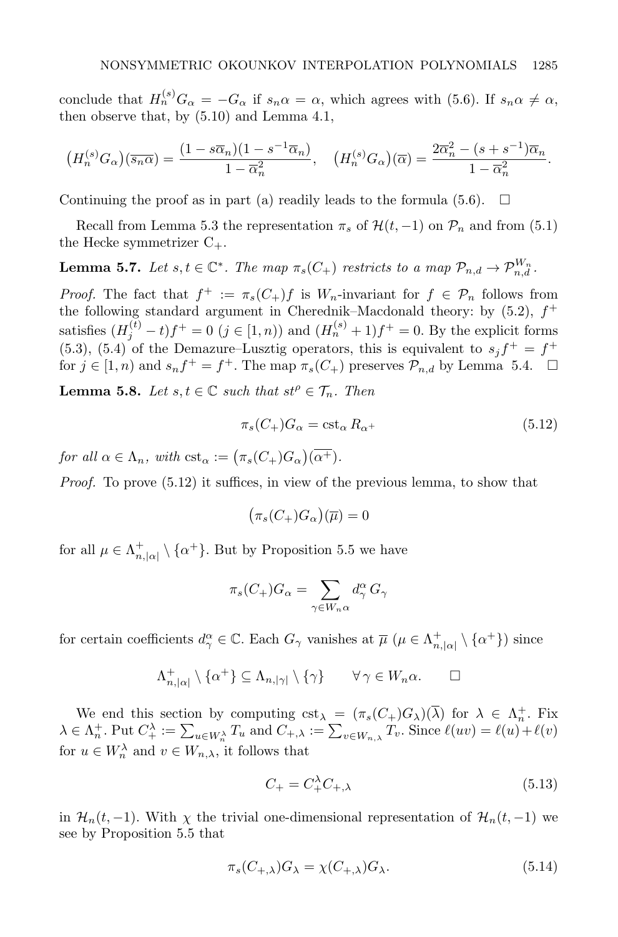conclude that  $H_n^{(s)}G_\alpha = -G_\alpha$  if  $s_n\alpha = \alpha$ , which agrees with (5.6). If  $s_n\alpha \neq \alpha$ , then observe that, by (5.10) and Lemma 4.1,

$$
\left(H_n^{(s)}G_\alpha\right)\left(\overline{s_n\alpha}\right) = \frac{\left(1 - s\overline{\alpha}_n\right)\left(1 - s^{-1}\overline{\alpha}_n\right)}{1 - \overline{\alpha}_n^2}, \quad \left(H_n^{(s)}G_\alpha\right)\left(\overline{\alpha}\right) = \frac{2\overline{\alpha}_n^2 - (s + s^{-1})\overline{\alpha}_n}{1 - \overline{\alpha}_n^2}.
$$

Continuing the proof as in part (a) readily leads to the formula (5.6).  $\Box$ 

Recall from Lemma 5.3 the representation  $\pi_s$  of  $\mathcal{H}(t, -1)$  on  $\mathcal{P}_n$  and from (5.1) the Hecke symmetrizer  $C_{+}$ .

**Lemma 5.7.** Let  $s, t \in \mathbb{C}^*$ . The map  $\pi_s(C_+)$  restricts to a map  $\mathcal{P}_{n,d} \to \mathcal{P}_{n,d}^{W_n}$ .

*Proof.* The fact that  $f^+ := \pi_s(C_+) f$  is  $W_n$ -invariant for  $f \in \mathcal{P}_n$  follows from the following standard argument in Cherednik–Macdonald theory: by  $(5.2)$ ,  $f^+$ satisfies  $(H_j^{(t)} - t)f^+ = 0$   $(j \in [1, n))$  and  $(H_n^{(s)} + 1)f^+ = 0$ . By the explicit forms  $(5.3)$ ,  $(5.4)$  of the Demazure–Lusztig operators, this is equivalent to  $s_j f^+ = f^+$ for  $j \in [1, n)$  and  $s_n f^+ = f^+$ . The map  $\pi_s(C_+)$  preserves  $\mathcal{P}_{n,d}$  by Lemma 5.4.  $\Box$ 

**Lemma 5.8.** Let  $s, t \in \mathbb{C}$  such that  $st^{\rho} \in \mathcal{T}_n$ . Then

$$
\pi_s(C_+)G_\alpha = \text{cst}_\alpha R_{\alpha^+} \tag{5.12}
$$

for all  $\alpha \in \Lambda_n$ , with  $\operatorname{cst}_{\alpha} := (\pi_s(C_+)G_{\alpha})(\alpha^+).$ 

Proof. To prove (5.12) it suffices, in view of the previous lemma, to show that

$$
\big(\pi_s(C_+)G_\alpha\big)(\overline{\mu})=0
$$

for all  $\mu \in \Lambda_{n,|\alpha|}^+ \setminus {\alpha^+}$ . But by Proposition 5.5 we have

$$
\pi_s(C_+)G_\alpha = \sum_{\gamma \in W_n \alpha} d_\gamma^\alpha G_\gamma
$$

for certain coefficients  $d_{\gamma}^{\alpha} \in \mathbb{C}$ . Each  $G_{\gamma}$  vanishes at  $\overline{\mu}$  ( $\mu \in \Lambda_{n, |\alpha|}^+ \setminus {\{\alpha^+\}}$ ) since

$$
\Lambda_{n,|\alpha|}^+ \setminus {\alpha^+} \subseteq \Lambda_{n,|\gamma|} \setminus {\gamma} \qquad \forall \gamma \in W_n \alpha. \qquad \Box
$$

We end this section by computing  $cst_{\lambda} = (\pi_s(C_+)G_{\lambda})(\overline{\lambda})$  for  $\lambda \in \Lambda_n^+$ . Fix  $\lambda \in \Lambda_n^+$ . Put  $C_+^{\lambda} := \sum_{u \in W_n^{\lambda}} T_u$  and  $C_{+,\lambda} := \sum_{v \in W_{n,\lambda}} T_v$ . Since  $\ell(uv) = \ell(u) + \ell(v)$ for  $u \in W_n^{\lambda}$  and  $v \in W_{n,\lambda}$ , it follows that

$$
C_{+} = C_{+}^{\lambda} C_{+,\lambda} \tag{5.13}
$$

in  $\mathcal{H}_n(t, -1)$ . With  $\chi$  the trivial one-dimensional representation of  $\mathcal{H}_n(t, -1)$  we see by Proposition 5.5 that

$$
\pi_s(C_{+,\lambda})G_{\lambda} = \chi(C_{+,\lambda})G_{\lambda}.
$$
\n(5.14)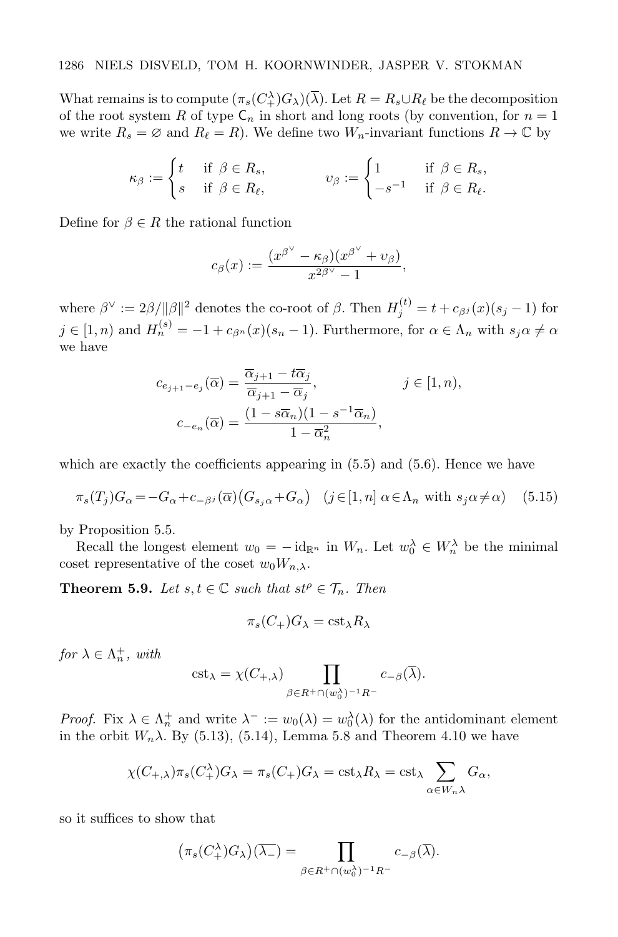What remains is to compute  $(\pi_s(C_\perp^{\lambda})G_\lambda)(\overline{\lambda})$ . Let  $R = R_s \cup R_\ell$  be the decomposition of the root system R of type  $C_n$  in short and long roots (by convention, for  $n = 1$ ) we write  $R_s = \emptyset$  and  $R_\ell = R$ ). We define two  $W_n$ -invariant functions  $R \to \mathbb{C}$  by

$$
\kappa_{\beta} := \begin{cases} t & \text{if } \beta \in R_s, \\ s & \text{if } \beta \in R_{\ell}, \end{cases} \qquad v_{\beta} := \begin{cases} 1 & \text{if } \beta \in R_s, \\ -s^{-1} & \text{if } \beta \in R_{\ell}. \end{cases}
$$

Define for  $\beta \in R$  the rational function

$$
c_{\beta}(x):=\frac{(x^{\beta^{\vee}}-\kappa_{\beta})(x^{\beta^{\vee}}+\upsilon_{\beta})}{x^{2\beta^{\vee}}-1},
$$

where  $\beta^{\vee} := 2\beta/\|\beta\|^2$  denotes the co-root of  $\beta$ . Then  $H_j^{(t)} = t + c_{\beta^j}(x)(s_j - 1)$  for  $j \in [1, n)$  and  $H_n^{(s)} = -1 + c_{\beta^n}(x)(s_n - 1)$ . Furthermore, for  $\alpha \in \Lambda_n$  with  $s_j \alpha \neq \alpha$ we have

$$
c_{e_{j+1}-e_j}(\overline{\alpha}) = \frac{\overline{\alpha}_{j+1} - t\overline{\alpha}_j}{\overline{\alpha}_{j+1} - \overline{\alpha}_j}, \qquad j \in [1, n),
$$

$$
c_{-e_n}(\overline{\alpha}) = \frac{(1 - s\overline{\alpha}_n)(1 - s^{-1}\overline{\alpha}_n)}{1 - \overline{\alpha}_n^2},
$$

which are exactly the coefficients appearing in  $(5.5)$  and  $(5.6)$ . Hence we have

$$
\pi_s(T_j)G_\alpha = -G_\alpha + c_{\beta^j}(\overline{\alpha})\left(G_{s_j\alpha} + G_\alpha\right) \quad (j \in [1, n] \ \alpha \in \Lambda_n \text{ with } s_j\alpha \neq \alpha) \tag{5.15}
$$

by Proposition 5.5.

Recall the longest element  $w_0 = -id_{\mathbb{R}^n}$  in  $W_n$ . Let  $w_0^{\lambda} \in W_n^{\lambda}$  be the minimal coset representative of the coset  $w_0W_{n,\lambda}$ .

**Theorem 5.9.** Let  $s, t \in \mathbb{C}$  such that  $st^{\rho} \in \mathcal{T}_n$ . Then

$$
\pi_s(C_+)G_\lambda = \text{cst}_\lambda R_\lambda
$$

for  $\lambda \in \Lambda_n^+$ , with

$$
\mathrm{cst}_{\lambda} = \chi(C_{+,\lambda}) \prod_{\beta \in R^{+} \cap (w_0^{\lambda})^{-1} R^{-}} c_{-\beta}(\overline{\lambda}).
$$

*Proof.* Fix  $\lambda \in \Lambda_n^+$  and write  $\lambda^- := w_0(\lambda) = w_0^{\lambda}(\lambda)$  for the antidominant element in the orbit  $W_n\lambda$ . By (5.13), (5.14), Lemma 5.8 and Theorem 4.10 we have

$$
\chi(C_{+,\lambda})\pi_s(C_{+}^{\lambda})G_{\lambda} = \pi_s(C_{+})G_{\lambda} = \text{cst}_{\lambda}R_{\lambda} = \text{cst}_{\lambda}\sum_{\alpha \in W_n\lambda}G_{\alpha},
$$

so it suffices to show that

 $\overline{\phantom{a}}$ 

$$
\pi_s(C^{\lambda}_+)G_{\lambda}\big)(\overline{\lambda_-}) = \prod_{\beta \in R^+\cap (w_0^{\lambda})^{-1}R^-} c_{-\beta}(\overline{\lambda}).
$$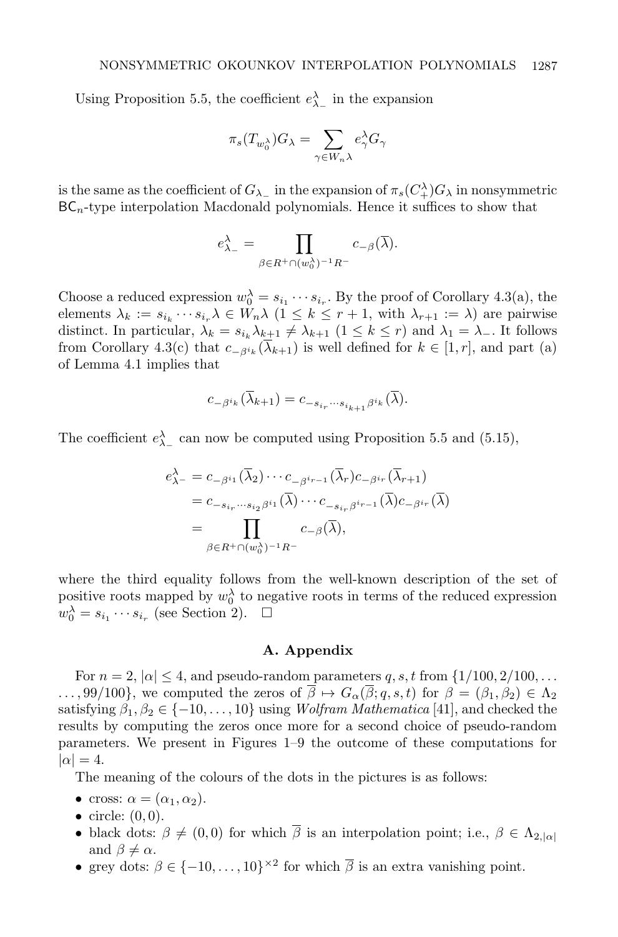Using Proposition 5.5, the coefficient  $e_{\lambda_-}^{\lambda}$  in the expansion

$$
\pi_s(T_{w_0^{\lambda}})G_{\lambda} = \sum_{\gamma \in W_n \lambda} e_{\gamma}^{\lambda} G_{\gamma}
$$

is the same as the coefficient of  $G_{\lambda_-}$  in the expansion of  $\pi_s(C^{\lambda}_+)G_{\lambda}$  in nonsymmetric  $BC_n$ -type interpolation Macdonald polynomials. Hence it suffices to show that

$$
e_{\lambda_-}^{\lambda} = \prod_{\beta \in R^+ \cap (w_0^{\lambda})^{-1}R^-} c_{-\beta}(\overline{\lambda}).
$$

Choose a reduced expression  $w_0^{\lambda} = s_{i_1} \cdots s_{i_r}$ . By the proof of Corollary 4.3(a), the elements  $\lambda_k := s_{i_k} \cdots s_{i_r} \lambda \in W_n \lambda \ (1 \leq k \leq r+1$ , with  $\lambda_{r+1} := \lambda$ ) are pairwise distinct. In particular,  $\lambda_k = s_{i_k} \lambda_{k+1} \neq \lambda_{k+1}$  ( $1 \leq k \leq r$ ) and  $\lambda_1 = \lambda_-$ . It follows from Corollary 4.3(c) that  $c_{-\beta^{i_k}}(\lambda_{k+1})$  is well defined for  $k \in [1, r]$ , and part (a) of Lemma 4.1 implies that

$$
c_{-\beta^{i_k}}(\lambda_{k+1}) = c_{-s_{i_r}\cdots s_{i_{k+1}}\beta^{i_k}}(\lambda).
$$

The coefficient  $e_{\lambda_-}^{\lambda}$  can now be computed using Proposition 5.5 and (5.15),

$$
e_{\lambda^{-}}^{\lambda} = c_{-\beta^{i_1}}(\overline{\lambda}_2) \cdots c_{-\beta^{i_{r-1}}}(\overline{\lambda}_r) c_{-\beta^{i_r}}(\overline{\lambda}_{r+1})
$$
  
=  $c_{-s_{i_r}\cdots s_{i_2}\beta^{i_1}}(\overline{\lambda}) \cdots c_{-s_{i_r}\beta^{i_{r-1}}}(\overline{\lambda}) c_{-\beta^{i_r}}(\overline{\lambda})$   
= 
$$
\prod_{\beta \in R^+\cap (w_0^{\lambda})^{-1}R^-} c_{-\beta}(\overline{\lambda}),
$$

where the third equality follows from the well-known description of the set of positive roots mapped by  $w_0^{\lambda}$  to negative roots in terms of the reduced expression  $w_0^{\lambda} = s_{i_1} \cdots s_{i_r}$  (see Section 2).  $\square$ 

#### A. Appendix

For  $n = 2$ ,  $|\alpha| \leq 4$ , and pseudo-random parameters q, s, t from  $\{1/100, 2/100, \ldots\}$  $\ldots$ , 99/100}, we computed the zeros of  $\overline{\beta} \mapsto G_{\alpha}(\overline{\beta}; q, s, t)$  for  $\beta = (\beta_1, \beta_2) \in \Lambda_2$ satisfying  $\beta_1, \beta_2 \in \{-10, \ldots, 10\}$  using *Wolfram Mathematica* [41], and checked the results by computing the zeros once more for a second choice of pseudo-random parameters. We present in Figures 1–9 the outcome of these computations for  $|\alpha| = 4.$ 

The meaning of the colours of the dots in the pictures is as follows:

- cross:  $\alpha = (\alpha_1, \alpha_2)$ .
- circle:  $(0,0)$ .
- black dots:  $\beta \neq (0, 0)$  for which  $\overline{\beta}$  is an interpolation point; i.e.,  $\beta \in \Lambda_{2,|\alpha|}$ and  $\beta \neq \alpha$ .
- grey dots:  $\beta \in \{-10, \ldots, 10\}^{\times 2}$  for which  $\overline{\beta}$  is an extra vanishing point.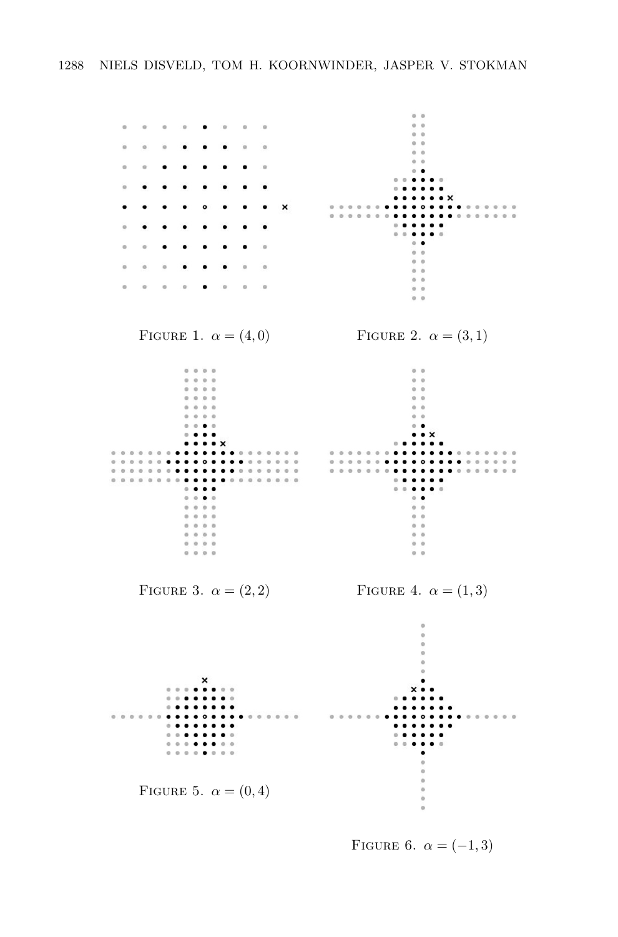

FIGURE 6.  $\alpha = (-1, 3)$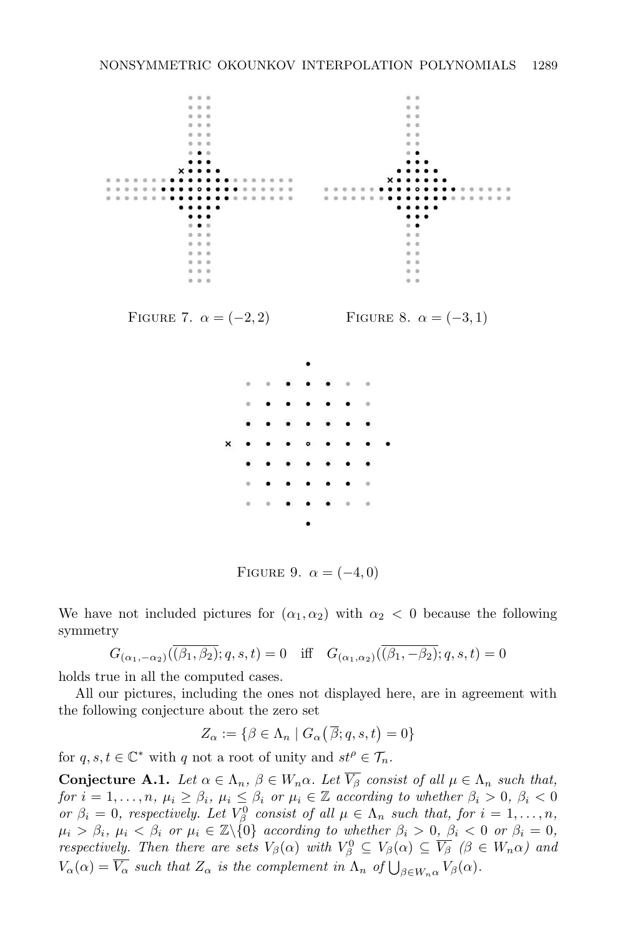

FIGURE 9.  $\alpha = (-4, 0)$ 

We have not included pictures for  $(\alpha_1, \alpha_2)$  with  $\alpha_2 < 0$  because the following symmetry

$$
G_{(\alpha_1,-\alpha_2)}(\overline{(\beta_1,\beta_2)};q,s,t)=0 \quad \text{iff} \quad G_{(\alpha_1,\alpha_2)}(\overline{(\beta_1,-\beta_2)};q,s,t)=0
$$

holds true in all the computed cases.

All our pictures, including the ones not displayed here, are in agreement with the following conjecture about the zero set

$$
Z_{\alpha} := \{ \beta \in \Lambda_n \mid G_{\alpha}(\overline{\beta};q,s,t) = 0 \}
$$

for  $q, s, t \in \mathbb{C}^*$  with q not a root of unity and  $st^{\rho} \in \mathcal{T}_n$ .

**Conjecture A.1.** Let  $\alpha \in \Lambda_n$ ,  $\beta \in W_n \alpha$ . Let  $\overline{V_{\beta}}$  consist of all  $\mu \in \Lambda_n$  such that, for  $i = 1, \ldots, n$ ,  $\mu_i \geq \beta_i$ ,  $\mu_i \leq \beta_i$  or  $\mu_i \in \mathbb{Z}$  according to whether  $\beta_i > 0$ ,  $\beta_i < 0$ or  $\beta_i = 0$ , respectively. Let  $V_\beta^0$  consist of all  $\mu \in \Lambda_n$  such that, for  $i = 1, \ldots, n$ ,  $\mu_i > \beta_i$ ,  $\mu_i < \beta_i$  or  $\mu_i \in \mathbb{Z}\backslash\{0\}$  according to whether  $\beta_i > 0$ ,  $\beta_i < 0$  or  $\beta_i = 0$ , respectively. Then there are sets  $V_\beta(\alpha)$  with  $V_\beta^0 \subseteq V_\beta(\alpha) \subseteq \overline{V_\beta}$  ( $\beta \in W_n(\alpha)$ ) and  $V_{\alpha}(\alpha) = \overline{V_{\alpha}}$  such that  $Z_{\alpha}$  is the complement in  $\Lambda_n$  of  $\bigcup_{\beta \in W_n \alpha} V_{\beta}(\alpha)$ .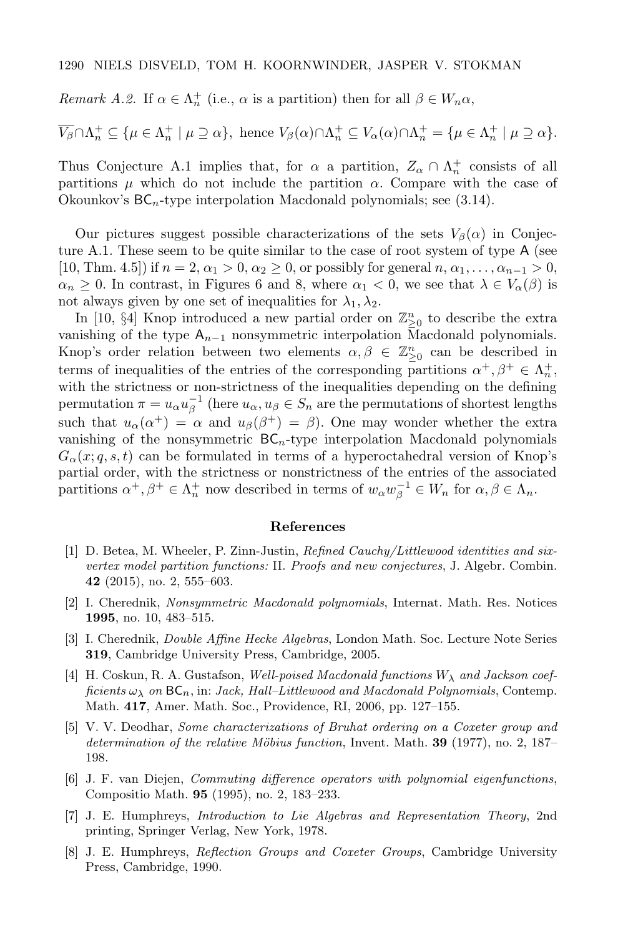Remark A.2. If  $\alpha \in \Lambda_n^+$  (i.e.,  $\alpha$  is a partition) then for all  $\beta \in W_n \alpha$ ,

$$
\overline{V_{\beta}} \cap \Lambda_n^+ \subseteq \{ \mu \in \Lambda_n^+ \mid \mu \supseteq \alpha \}, \text{ hence } V_{\beta}(\alpha) \cap \Lambda_n^+ \subseteq V_{\alpha}(\alpha) \cap \Lambda_n^+ = \{ \mu \in \Lambda_n^+ \mid \mu \supseteq \alpha \}.
$$

Thus Conjecture A.1 implies that, for  $\alpha$  a partition,  $Z_{\alpha} \cap \Lambda_n^+$  consists of all partitions  $\mu$  which do not include the partition  $\alpha$ . Compare with the case of Okounkov's  $BC_n$ -type interpolation Macdonald polynomials; see (3.14).

Our pictures suggest possible characterizations of the sets  $V_\beta(\alpha)$  in Conjecture A.1. These seem to be quite similar to the case of root system of type A (see [10, Thm. 4.5]) if  $n = 2, \alpha_1 > 0, \alpha_2 \geq 0$ , or possibly for general  $n, \alpha_1, \ldots, \alpha_{n-1} > 0$ ,  $\alpha_n \geq 0$ . In contrast, in Figures 6 and 8, where  $\alpha_1 < 0$ , we see that  $\lambda \in V_\alpha(\beta)$  is not always given by one set of inequalities for  $\lambda_1, \lambda_2$ .

In [10, §4] Knop introduced a new partial order on  $\mathbb{Z}_{\geq 0}^n$  to describe the extra vanishing of the type  $A_{n-1}$  nonsymmetric interpolation Macdonald polynomials. Knop's order relation between two elements  $\alpha, \beta \in \mathbb{Z}_{\geq 0}^n$  can be described in terms of inequalities of the entries of the corresponding partitions  $\alpha^+, \beta^+ \in \Lambda_n^+$ , with the strictness or non-strictness of the inequalities depending on the defining permutation  $\pi = u_{\alpha} u_{\beta}^{-1}$  (here  $u_{\alpha}, u_{\beta} \in S_n$  are the permutations of shortest lengths such that  $u_{\alpha}(\alpha^+) = \alpha$  and  $u_{\beta}(\beta^+) = \beta$ ). One may wonder whether the extra vanishing of the nonsymmetric  $BC_n$ -type interpolation Macdonald polynomials  $G_{\alpha}(x; q, s, t)$  can be formulated in terms of a hyperoctahedral version of Knop's partial order, with the strictness or nonstrictness of the entries of the associated partitions  $\alpha^+, \beta^+ \in \Lambda_n^+$  now described in terms of  $w_\alpha w_\beta^{-1} \in W_n$  for  $\alpha, \beta \in \Lambda_n$ .

#### References

- [1] D. Betea, M. Wheeler, P. Zinn-Justin, Refined Cauchy/Littlewood identities and sixvertex model partition functions: II. Proofs and new conjectures, J. Algebr. Combin. 42 (2015), no. 2, 555–603.
- [2] I. Cherednik, Nonsymmetric Macdonald polynomials, Internat. Math. Res. Notices 1995, no. 10, 483–515.
- [3] I. Cherednik, Double Affine Hecke Algebras, London Math. Soc. Lecture Note Series 319, Cambridge University Press, Cambridge, 2005.
- [4] H. Coskun, R. A. Gustafson, Well-poised Macdonald functions  $W_{\lambda}$  and Jackson coefficients  $\omega_{\lambda}$  on  $BC_n$ , in: Jack, Hall–Littlewood and Macdonald Polynomials, Contemp. Math. 417, Amer. Math. Soc., Providence, RI, 2006, pp. 127–155.
- [5] V. V. Deodhar, Some characterizations of Bruhat ordering on a Coxeter group and determination of the relative Möbius function, Invent. Math. **39** (1977), no. 2, 187– 198.
- [6] J. F. van Diejen, Commuting difference operators with polynomial eigenfunctions, Compositio Math. 95 (1995), no. 2, 183–233.
- [7] J. E. Humphreys, Introduction to Lie Algebras and Representation Theory, 2nd printing, Springer Verlag, New York, 1978.
- [8] J. E. Humphreys, Reflection Groups and Coxeter Groups, Cambridge University Press, Cambridge, 1990.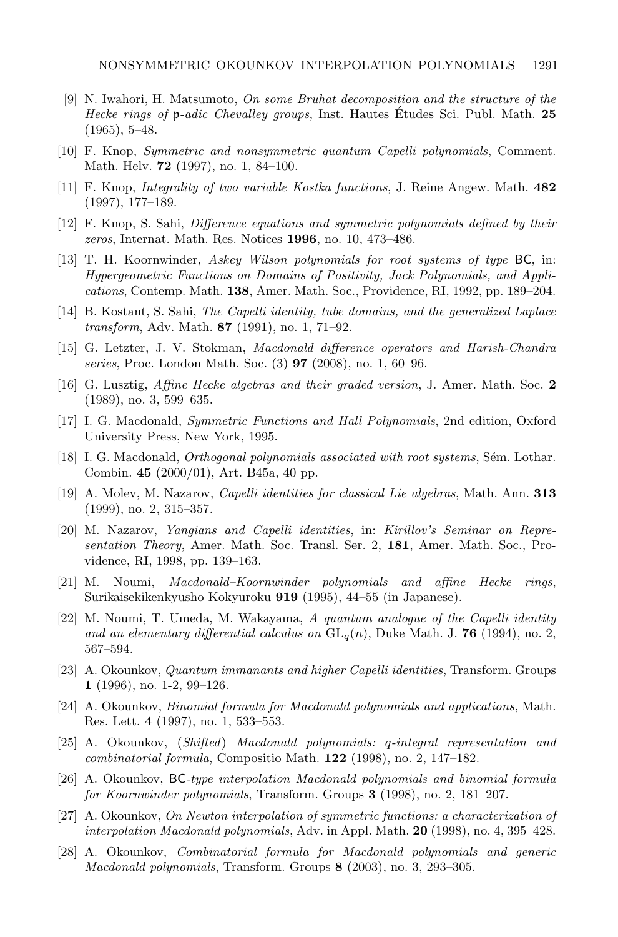- [9] N. Iwahori, H. Matsumoto, On some Bruhat decomposition and the structure of the Hecke rings of p-adic Chevalley groups, Inst. Hautes Etudes Sci. Publ. Math. 25 (1965), 5–48.
- [10] F. Knop, Symmetric and nonsymmetric quantum Capelli polynomials, Comment. Math. Helv. 72 (1997), no. 1, 84–100.
- [11] F. Knop, Integrality of two variable Kostka functions, J. Reine Angew. Math. 482 (1997), 177–189.
- [12] F. Knop, S. Sahi, Difference equations and symmetric polynomials defined by their zeros, Internat. Math. Res. Notices 1996, no. 10, 473–486.
- [13] T. H. Koornwinder, Askey–Wilson polynomials for root systems of type BC, in: Hypergeometric Functions on Domains of Positivity, Jack Polynomials, and Applications, Contemp. Math. 138, Amer. Math. Soc., Providence, RI, 1992, pp. 189–204.
- [14] B. Kostant, S. Sahi, The Capelli identity, tube domains, and the generalized Laplace transform, Adv. Math. 87 (1991), no. 1, 71–92.
- [15] G. Letzter, J. V. Stokman, Macdonald difference operators and Harish-Chandra series, Proc. London Math. Soc. (3) 97 (2008), no. 1, 60–96.
- [16] G. Lusztig, Affine Hecke algebras and their graded version, J. Amer. Math. Soc. 2 (1989), no. 3, 599–635.
- [17] I. G. Macdonald, Symmetric Functions and Hall Polynomials, 2nd edition, Oxford University Press, New York, 1995.
- [18] I. G. Macdonald, *Orthogonal polynomials associated with root systems*, Sém. Lothar. Combin. 45 (2000/01), Art. B45a, 40 pp.
- [19] A. Molev, M. Nazarov, Capelli identities for classical Lie algebras, Math. Ann. 313 (1999), no. 2, 315–357.
- [20] M. Nazarov, Yangians and Capelli identities, in: Kirillov's Seminar on Representation Theory, Amer. Math. Soc. Transl. Ser. 2, 181, Amer. Math. Soc., Providence, RI, 1998, pp. 139–163.
- [21] M. Noumi, Macdonald–Koornwinder polynomials and affine Hecke rings, Surikaisekikenkyusho Kokyuroku 919 (1995), 44–55 (in Japanese).
- [22] M. Noumi, T. Umeda, M. Wakayama, A quantum analogue of the Capelli identity and an elementary differential calculus on  $GL_q(n)$ , Duke Math. J. 76 (1994), no. 2, 567–594.
- [23] A. Okounkov, *Quantum immanants and higher Capelli identities*, Transform. Groups 1 (1996), no. 1-2, 99–126.
- [24] A. Okounkov, Binomial formula for Macdonald polynomials and applications, Math. Res. Lett. 4 (1997), no. 1, 533–553.
- [25] A. Okounkov, (Shifted) Macdonald polynomials: q-integral representation and combinatorial formula, Compositio Math. 122 (1998), no. 2, 147–182.
- [26] A. Okounkov, BC-type interpolation Macdonald polynomials and binomial formula for Koornwinder polynomials, Transform. Groups 3 (1998), no. 2, 181–207.
- [27] A. Okounkov, On Newton interpolation of symmetric functions: a characterization of interpolation Macdonald polynomials, Adv. in Appl. Math. 20 (1998), no. 4, 395–428.
- [28] A. Okounkov, Combinatorial formula for Macdonald polynomials and generic Macdonald polynomials, Transform. Groups 8 (2003), no. 3, 293–305.